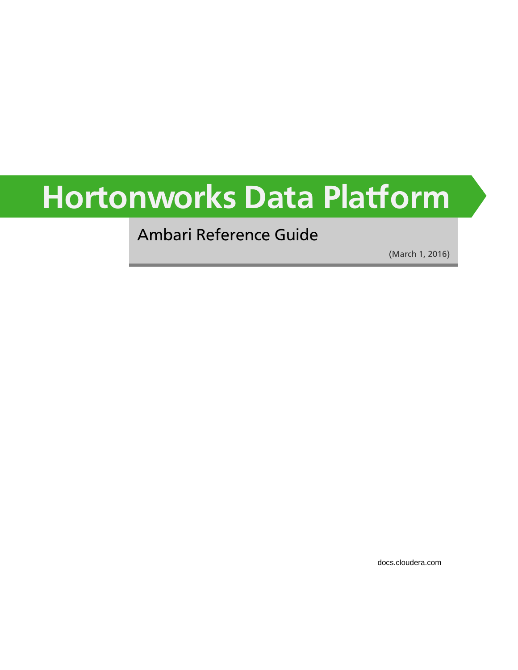# **Hortonworks Data Platform**

Ambari Reference Guide

(March 1, 2016)

[docs.cloudera.com](http://docs.cloudera.com)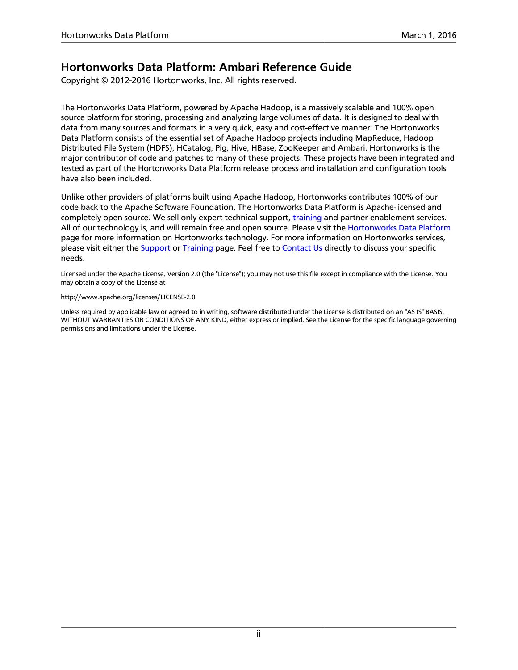### **Hortonworks Data Platform: Ambari Reference Guide**

Copyright © 2012-2016 Hortonworks, Inc. All rights reserved.

The Hortonworks Data Platform, powered by Apache Hadoop, is a massively scalable and 100% open source platform for storing, processing and analyzing large volumes of data. It is designed to deal with data from many sources and formats in a very quick, easy and cost-effective manner. The Hortonworks Data Platform consists of the essential set of Apache Hadoop projects including MapReduce, Hadoop Distributed File System (HDFS), HCatalog, Pig, Hive, HBase, ZooKeeper and Ambari. Hortonworks is the major contributor of code and patches to many of these projects. These projects have been integrated and tested as part of the Hortonworks Data Platform release process and installation and configuration tools have also been included.

Unlike other providers of platforms built using Apache Hadoop, Hortonworks contributes 100% of our code back to the Apache Software Foundation. The Hortonworks Data Platform is Apache-licensed and completely open source. We sell only expert technical support, [training](https://hortonworks.com/training/) and partner-enablement services. All of our technology is, and will remain free and open source. Please visit the [Hortonworks Data Platform](https://hortonworks.com/products/hdp/) page for more information on Hortonworks technology. For more information on Hortonworks services, please visit either the [Support](https://hortonworks.com/support) or [Training](https://hortonworks.com/training) page. Feel free to [Contact Us](https://hortonworks.com/about-us/contact-us/) directly to discuss your specific needs.

Licensed under the Apache License, Version 2.0 (the "License"); you may not use this file except in compliance with the License. You may obtain a copy of the License at

<http://www.apache.org/licenses/LICENSE-2.0>

Unless required by applicable law or agreed to in writing, software distributed under the License is distributed on an "AS IS" BASIS, WITHOUT WARRANTIES OR CONDITIONS OF ANY KIND, either express or implied. See the License for the specific language governing permissions and limitations under the License.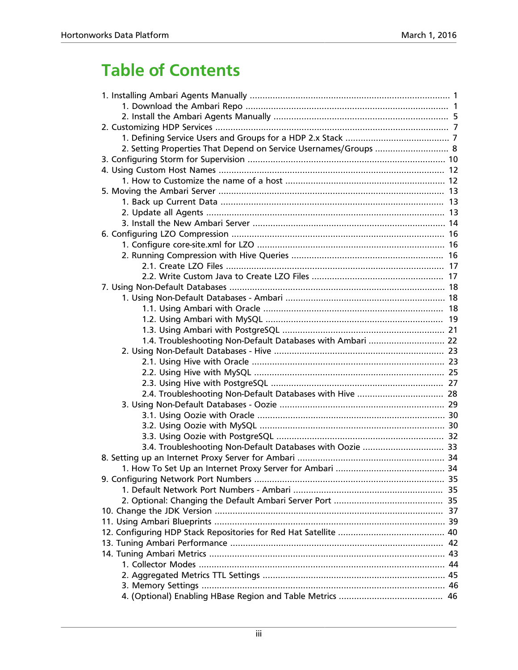# **Table of Contents**

| 2. Setting Properties That Depend on Service Usernames/Groups  8 |  |
|------------------------------------------------------------------|--|
|                                                                  |  |
|                                                                  |  |
|                                                                  |  |
|                                                                  |  |
|                                                                  |  |
|                                                                  |  |
|                                                                  |  |
|                                                                  |  |
|                                                                  |  |
|                                                                  |  |
|                                                                  |  |
|                                                                  |  |
|                                                                  |  |
|                                                                  |  |
|                                                                  |  |
|                                                                  |  |
|                                                                  |  |
| 1.4. Troubleshooting Non-Default Databases with Ambari  22       |  |
|                                                                  |  |
|                                                                  |  |
|                                                                  |  |
|                                                                  |  |
| 2.4. Troubleshooting Non-Default Databases with Hive  28         |  |
|                                                                  |  |
|                                                                  |  |
|                                                                  |  |
|                                                                  |  |
| 3.4. Troubleshooting Non-Default Databases with Oozie  33        |  |
|                                                                  |  |
|                                                                  |  |
|                                                                  |  |
|                                                                  |  |
|                                                                  |  |
|                                                                  |  |
|                                                                  |  |
|                                                                  |  |
|                                                                  |  |
|                                                                  |  |
|                                                                  |  |
|                                                                  |  |
|                                                                  |  |
|                                                                  |  |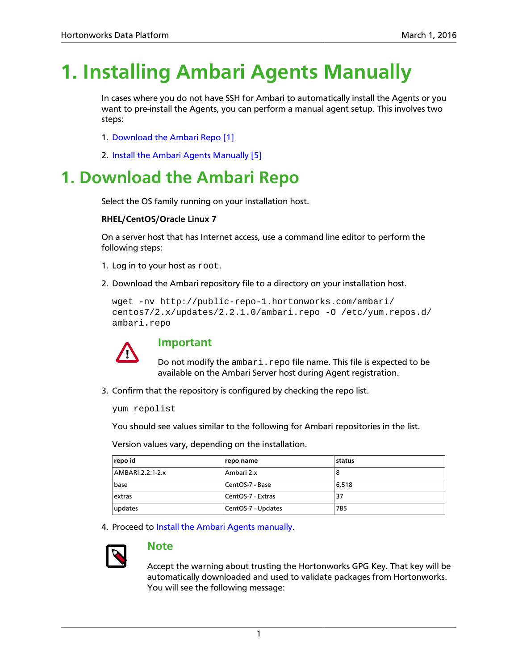# <span id="page-4-0"></span>**1. Installing Ambari Agents Manually**

In cases where you do not have SSH for Ambari to automatically install the Agents or you want to pre-install the Agents, you can perform a manual agent setup. This involves two steps:

- 1. [Download the Ambari Repo \[1\]](#page-4-1)
- 2. [Install the Ambari Agents Manually \[5\]](#page-8-0)

# <span id="page-4-1"></span>**1. Download the Ambari Repo**

Select the OS family running on your installation host.

#### **RHEL/CentOS/Oracle Linux 7**

On a server host that has Internet access, use a command line editor to perform the following steps:

- 1. Log in to your host as root.
- 2. Download the Ambari repository file to a directory on your installation host.

```
wget -nv http://public-repo-1.hortonworks.com/ambari/
centos7/2.x/updates/2.2.1.0/ambari.repo -O /etc/yum.repos.d/
ambari.repo
```


### **Important**

Do not modify the ambari.repo file name. This file is expected to be available on the Ambari Server host during Agent registration.

3. Confirm that the repository is configured by checking the repo list.

yum repolist

You should see values similar to the following for Ambari repositories in the list.

Version values vary, depending on the installation.

| repo id          | repo name          | status |
|------------------|--------------------|--------|
| AMBARI.2.2.1-2.x | Ambari 2.x         | 8      |
| base             | CentOS-7 - Base    | 6.518  |
| extras           | CentOS-7 - Extras  | 37     |
| updates          | CentOS-7 - Updates | 785    |

4. Proceed to [Install the Ambari Agents manually.](#page-8-0)



#### **Note**

Accept the warning about trusting the Hortonworks GPG Key. That key will be automatically downloaded and used to validate packages from Hortonworks. You will see the following message: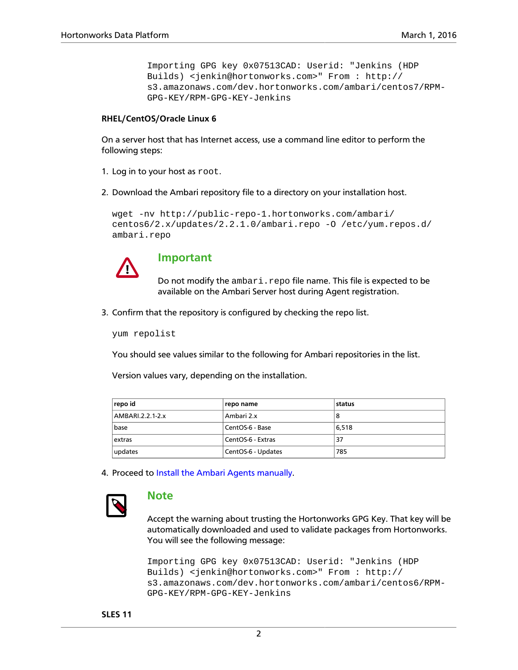Importing GPG key 0x07513CAD: Userid: "Jenkins (HDP Builds) <jenkin@hortonworks.com>" From : http:// s3.amazonaws.com/dev.hortonworks.com/ambari/centos7/RPM-GPG-KEY/RPM-GPG-KEY-Jenkins

#### **RHEL/CentOS/Oracle Linux 6**

On a server host that has Internet access, use a command line editor to perform the following steps:

- 1. Log in to your host as root.
- 2. Download the Ambari repository file to a directory on your installation host.

```
wget -nv http://public-repo-1.hortonworks.com/ambari/
centos6/2.x/updates/2.2.1.0/ambari.repo -O /etc/yum.repos.d/
ambari.repo
```


#### **Important**

Do not modify the ambari.repo file name. This file is expected to be available on the Ambari Server host during Agent registration.

3. Confirm that the repository is configured by checking the repo list.

yum repolist

You should see values similar to the following for Ambari repositories in the list.

Version values vary, depending on the installation.

| repo id          | repo name          | status |
|------------------|--------------------|--------|
| AMBARI.2.2.1-2.x | Ambari 2.x         | 8      |
| base             | CentOS-6 - Base    | 6.518  |
| extras           | CentOS-6 - Extras  | 37     |
| updates          | CentOS-6 - Updates | 785    |

4. Proceed to [Install the Ambari Agents manually.](#page-8-0)



#### **Note**

Accept the warning about trusting the Hortonworks GPG Key. That key will be automatically downloaded and used to validate packages from Hortonworks. You will see the following message:

```
Importing GPG key 0x07513CAD: Userid: "Jenkins (HDP
Builds) <jenkin@hortonworks.com>" From : http://
s3.amazonaws.com/dev.hortonworks.com/ambari/centos6/RPM-
GPG-KEY/RPM-GPG-KEY-Jenkins
```
**SLES 11**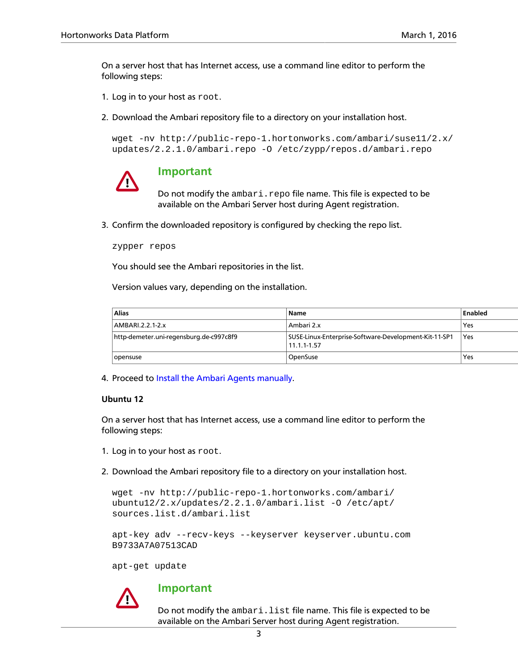On a server host that has Internet access, use a command line editor to perform the following steps:

- 1. Log in to your host as root.
- 2. Download the Ambari repository file to a directory on your installation host.

```
wget -nv http://public-repo-1.hortonworks.com/ambari/suse11/2.x/
updates/2.2.1.0/ambari.repo -O /etc/zypp/repos.d/ambari.repo
```


#### **Important**

Do not modify the ambari.repo file name. This file is expected to be available on the Ambari Server host during Agent registration.

3. Confirm the downloaded repository is configured by checking the repo list.

```
zypper repos
```
You should see the Ambari repositories in the list.

Version values vary, depending on the installation.

| <b>Alias</b>                            | Name                                                                     | Enabled |
|-----------------------------------------|--------------------------------------------------------------------------|---------|
| AMBARI.2.2.1-2.x                        | Ambari 2.x                                                               | Yes     |
| http-demeter.uni-regensburg.de-c997c8f9 | SUSE-Linux-Enterprise-Software-Development-Kit-11-SP1<br>$11.1.1 - 1.57$ | Yes     |
| opensuse                                | OpenSuse                                                                 | Yes     |

4. Proceed to [Install the Ambari Agents manually.](#page-8-0)

#### **Ubuntu 12**

On a server host that has Internet access, use a command line editor to perform the following steps:

- 1. Log in to your host as root.
- 2. Download the Ambari repository file to a directory on your installation host.

```
wget -nv http://public-repo-1.hortonworks.com/ambari/
ubuntu12/2.x/updates/2.2.1.0/ambari.list -O /etc/apt/
sources.list.d/ambari.list
```

```
apt-key adv --recv-keys --keyserver keyserver.ubuntu.com
B9733A7A07513CAD
```
apt-get update



#### **Important**

Do not modify the ambari. list file name. This file is expected to be available on the Ambari Server host during Agent registration.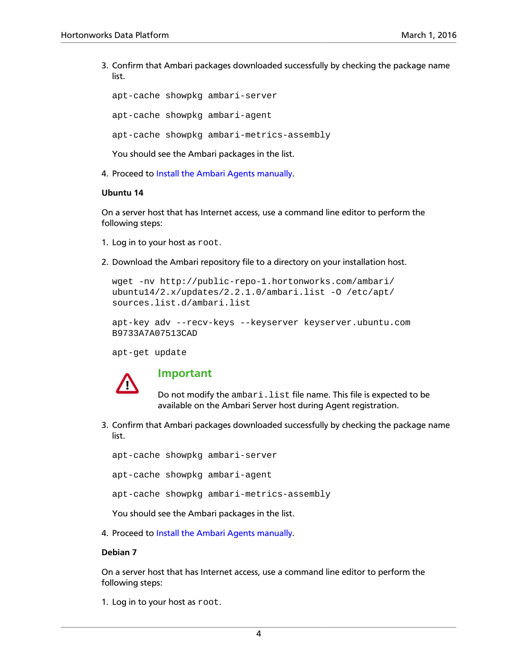3. Confirm that Ambari packages downloaded successfully by checking the package name list.

apt-cache showpkg ambari-server apt-cache showpkg ambari-agent apt-cache showpkg ambari-metrics-assembly

You should see the Ambari packages in the list.

4. Proceed to [Install the Ambari Agents manually.](#page-8-0)

#### **Ubuntu 14**

On a server host that has Internet access, use a command line editor to perform the following steps:

- 1. Log in to your host as root.
- 2. Download the Ambari repository file to a directory on your installation host.

```
wget -nv http://public-repo-1.hortonworks.com/ambari/
ubuntu14/2.x/updates/2.2.1.0/ambari.list -O /etc/apt/
sources.list.d/ambari.list
```

```
apt-key adv --recv-keys --keyserver keyserver.ubuntu.com
B9733A7A07513CAD
```
apt-get update



#### **Important**

Do not modify the ambari. list file name. This file is expected to be available on the Ambari Server host during Agent registration.

3. Confirm that Ambari packages downloaded successfully by checking the package name list.

apt-cache showpkg ambari-server

apt-cache showpkg ambari-agent

apt-cache showpkg ambari-metrics-assembly

You should see the Ambari packages in the list.

4. Proceed to [Install the Ambari Agents manually.](#page-8-0)

#### **Debian 7**

On a server host that has Internet access, use a command line editor to perform the following steps:

1. Log in to your host as root.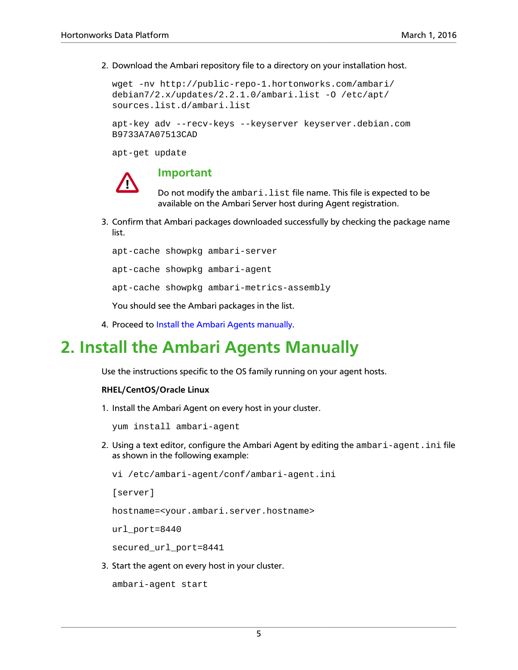2. Download the Ambari repository file to a directory on your installation host.

```
wget -nv http://public-repo-1.hortonworks.com/ambari/
debian7/2.x/updates/2.2.1.0/ambari.list -O /etc/apt/
sources.list.d/ambari.list
```

```
apt-key adv --recv-keys --keyserver keyserver.debian.com
B9733A7A07513CAD
```
apt-get update



#### **Important**

Do not modify the ambari. list file name. This file is expected to be available on the Ambari Server host during Agent registration.

3. Confirm that Ambari packages downloaded successfully by checking the package name list.

apt-cache showpkg ambari-server apt-cache showpkg ambari-agent apt-cache showpkg ambari-metrics-assembly You should see the Ambari packages in the list.

4. Proceed to [Install the Ambari Agents manually.](#page-8-0)

# <span id="page-8-0"></span>**2. Install the Ambari Agents Manually**

Use the instructions specific to the OS family running on your agent hosts.

#### **RHEL/CentOS/Oracle Linux**

1. Install the Ambari Agent on every host in your cluster.

yum install ambari-agent

2. Using a text editor, configure the Ambari Agent by editing the ambari-agent.ini file as shown in the following example:

```
vi /etc/ambari-agent/conf/ambari-agent.ini
```
[server]

hostname=<your.ambari.server.hostname>

url\_port=8440

secured\_url\_port=8441

3. Start the agent on every host in your cluster.

```
ambari-agent start
```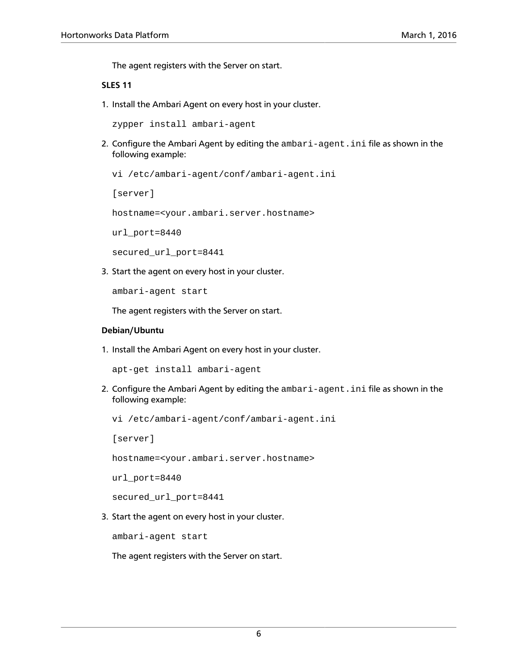The agent registers with the Server on start.

#### **SLES 11**

1. Install the Ambari Agent on every host in your cluster.

zypper install ambari-agent

2. Configure the Ambari Agent by editing the ambari-agent.ini file as shown in the following example:

```
vi /etc/ambari-agent/conf/ambari-agent.ini
```
[server]

hostname=<your.ambari.server.hostname>

url\_port=8440

secured url port=8441

3. Start the agent on every host in your cluster.

ambari-agent start

The agent registers with the Server on start.

#### **Debian/Ubuntu**

1. Install the Ambari Agent on every host in your cluster.

apt-get install ambari-agent

2. Configure the Ambari Agent by editing the ambari-agent.ini file as shown in the following example:

vi /etc/ambari-agent/conf/ambari-agent.ini

[server]

hostname=<your.ambari.server.hostname>

url\_port=8440

secured\_url\_port=8441

3. Start the agent on every host in your cluster.

ambari-agent start

The agent registers with the Server on start.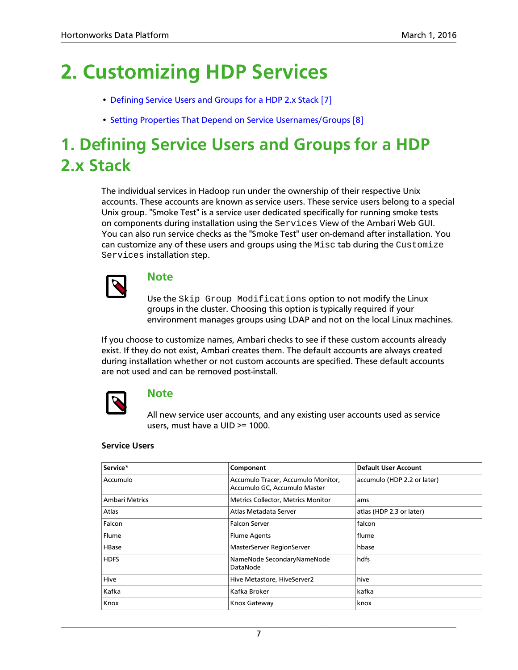# <span id="page-10-0"></span>**2. Customizing HDP Services**

- [Defining Service Users and Groups for a HDP 2.x Stack \[7\]](#page-10-1)
- [Setting Properties That Depend on Service Usernames/Groups \[8\]](#page-11-0)

# <span id="page-10-1"></span>**1. Defining Service Users and Groups for a HDP 2.x Stack**

The individual services in Hadoop run under the ownership of their respective Unix accounts. These accounts are known as service users. These service users belong to a special Unix group. "Smoke Test" is a service user dedicated specifically for running smoke tests on components during installation using the Services View of the Ambari Web GUI. You can also run service checks as the "Smoke Test" user on-demand after installation. You can customize any of these users and groups using the  $Misc$  tab during the Customize Services installation step.



### **Note**

Use the Skip Group Modifications option to not modify the Linux groups in the cluster. Choosing this option is typically required if your environment manages groups using LDAP and not on the local Linux machines.

If you choose to customize names, Ambari checks to see if these custom accounts already exist. If they do not exist, Ambari creates them. The default accounts are always created during installation whether or not custom accounts are specified. These default accounts are not used and can be removed post-install.



#### **Note**

All new service user accounts, and any existing user accounts used as service users, must have a UID >= 1000.

#### **Service Users**

| Service*              | Component                                                          | <b>Default User Account</b> |
|-----------------------|--------------------------------------------------------------------|-----------------------------|
| Accumulo              | Accumulo Tracer, Accumulo Monitor,<br>Accumulo GC, Accumulo Master | accumulo (HDP 2.2 or later) |
| <b>Ambari Metrics</b> | Metrics Collector, Metrics Monitor                                 | ams                         |
| Atlas                 | Atlas Metadata Server                                              | atlas (HDP 2.3 or later)    |
| Falcon                | <b>Falcon Server</b>                                               | falcon                      |
| Flume                 | <b>Flume Agents</b>                                                | flume                       |
| <b>HBase</b>          | MasterServer RegionServer                                          | hbase                       |
| <b>HDFS</b>           | NameNode SecondaryNameNode<br>DataNode                             | hdfs                        |
| Hive                  | Hive Metastore, HiveServer2                                        | hive                        |
| Kafka                 | Kafka Broker                                                       | kafka                       |
| Knox                  | Knox Gateway                                                       | knox                        |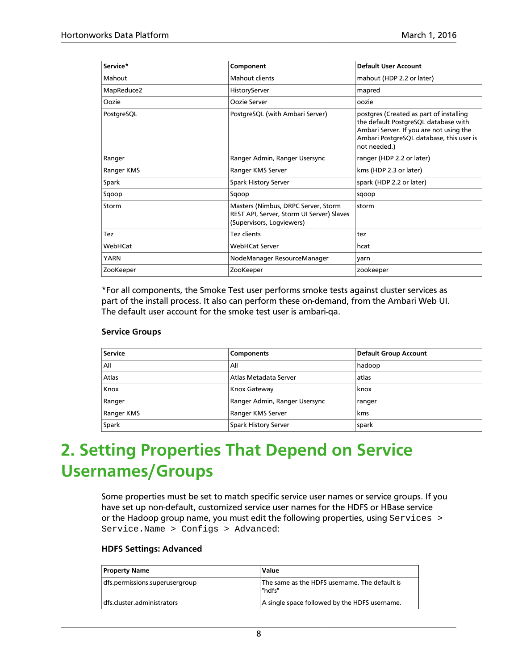| Service*    | Component                                                                                                     | Default User Account                                                                                                                                                                   |
|-------------|---------------------------------------------------------------------------------------------------------------|----------------------------------------------------------------------------------------------------------------------------------------------------------------------------------------|
| Mahout      | Mahout clients                                                                                                | mahout (HDP 2.2 or later)                                                                                                                                                              |
| MapReduce2  | HistoryServer                                                                                                 | mapred                                                                                                                                                                                 |
| Oozie       | Oozie Server                                                                                                  | oozie                                                                                                                                                                                  |
| PostgreSQL  | PostgreSQL (with Ambari Server)                                                                               | postgres (Created as part of installing<br>the default PostgreSQL database with<br>Ambari Server. If you are not using the<br>Ambari PostgreSQL database, this user is<br>not needed.) |
| Ranger      | Ranger Admin, Ranger Usersync                                                                                 | ranger (HDP 2.2 or later)                                                                                                                                                              |
| Ranger KMS  | Ranger KMS Server                                                                                             | kms (HDP 2.3 or later)                                                                                                                                                                 |
| Spark       | Spark History Server                                                                                          | spark (HDP 2.2 or later)                                                                                                                                                               |
| Sqoop       | Sqoop                                                                                                         | sqoop                                                                                                                                                                                  |
| Storm       | Masters (Nimbus, DRPC Server, Storm<br>REST API, Server, Storm UI Server) Slaves<br>(Supervisors, Logviewers) | storm                                                                                                                                                                                  |
| Tez         | Tez clients                                                                                                   | tez                                                                                                                                                                                    |
| WebHCat     | <b>WebHCat Server</b>                                                                                         | hcat                                                                                                                                                                                   |
| <b>YARN</b> | NodeManager ResourceManager                                                                                   | varn                                                                                                                                                                                   |
| ZooKeeper   | ZooKeeper                                                                                                     | zookeeper                                                                                                                                                                              |

\*For all components, the Smoke Test user performs smoke tests against cluster services as part of the install process. It also can perform these on-demand, from the Ambari Web UI. The default user account for the smoke test user is ambari-qa.

#### **Service Groups**

| <b>Service</b> | Components                    | Default Group Account |
|----------------|-------------------------------|-----------------------|
| All            | All                           | hadoop                |
| Atlas          | Atlas Metadata Server         | atlas                 |
| Knox           | <b>Knox Gateway</b>           | knox                  |
| Ranger         | Ranger Admin, Ranger Usersync | ranger                |
| Ranger KMS     | Ranger KMS Server             | kms                   |
| Spark          | <b>Spark History Server</b>   | spark                 |

# <span id="page-11-0"></span>**2. Setting Properties That Depend on Service Usernames/Groups**

Some properties must be set to match specific service user names or service groups. If you have set up non-default, customized service user names for the HDFS or HBase service or the Hadoop group name, you must edit the following properties, using Services > Service.Name > Configs > Advanced:

#### **HDFS Settings: Advanced**

| <b>Property Name</b>           | Value                                                   |
|--------------------------------|---------------------------------------------------------|
| dfs.permissions.superusergroup | The same as the HDFS username. The default is<br>"hdfs" |
| dfs.cluster.administrators     | A single space followed by the HDFS username.           |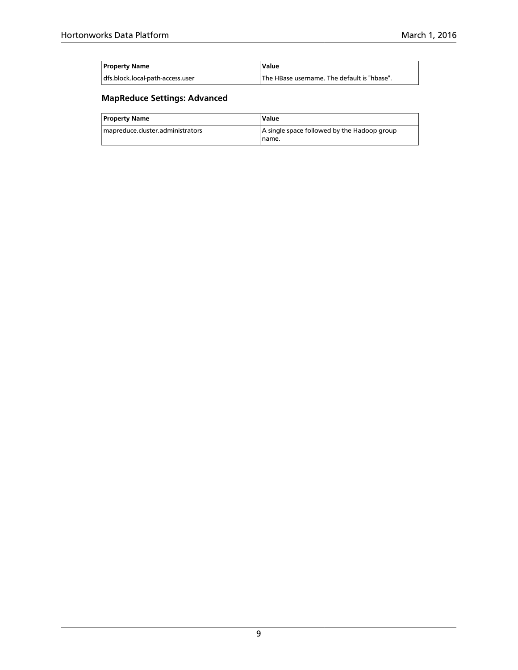| <b>Property Name</b>             | Value                                                    |
|----------------------------------|----------------------------------------------------------|
| dfs.block.local-path-access.user | <sup>1</sup> The HBase username. The default is "hbase". |

### **MapReduce Settings: Advanced**

| <b>Property Name</b>             | Value                                                |
|----------------------------------|------------------------------------------------------|
| mapreduce.cluster.administrators | A single space followed by the Hadoop group<br>name. |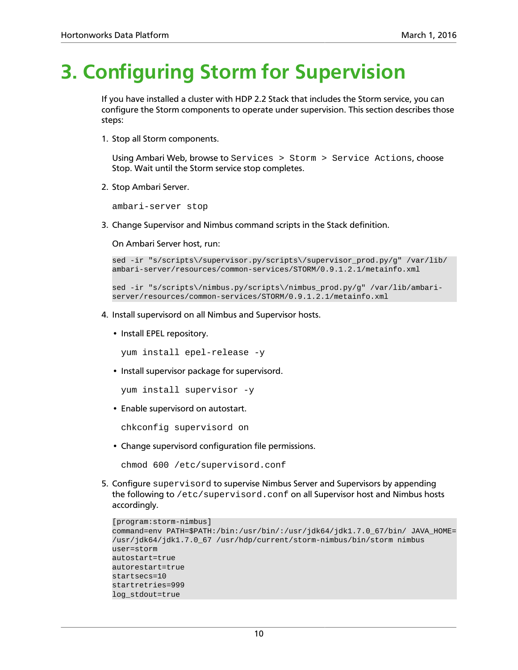# <span id="page-13-0"></span>**3. Configuring Storm for Supervision**

If you have installed a cluster with HDP 2.2 Stack that includes the Storm service, you can configure the Storm components to operate under supervision. This section describes those steps:

1. Stop all Storm components.

Using Ambari Web, browse to Services > Storm > Service Actions, choose Stop. Wait until the Storm service stop completes.

2. Stop Ambari Server.

ambari-server stop

3. Change Supervisor and Nimbus command scripts in the Stack definition.

On Ambari Server host, run:

```
sed -ir "s/scripts\/supervisor.py/scripts\/supervisor_prod.py/g" /var/lib/
ambari-server/resources/common-services/STORM/0.9.1.2.1/metainfo.xml
```

```
sed -ir "s/scripts\/nimbus.py/scripts\/nimbus_prod.py/g" /var/lib/ambari-
server/resources/common-services/STORM/0.9.1.2.1/metainfo.xml
```
- 4. Install supervisord on all Nimbus and Supervisor hosts.
	- Install EPEL repository.

```
yum install epel-release -y
```
• Install supervisor package for supervisord.

yum install supervisor -y

• Enable supervisord on autostart.

chkconfig supervisord on

• Change supervisord configuration file permissions.

```
chmod 600 /etc/supervisord.conf
```
5. Configure supervisord to supervise Nimbus Server and Supervisors by appending the following to /etc/supervisord.conf on all Supervisor host and Nimbus hosts accordingly.

```
[program:storm-nimbus]
command=env PATH=$PATH:/bin:/usr/bin/:/usr/jdk64/jdk1.7.0_67/bin/ JAVA_HOME=
/usr/jdk64/jdk1.7.0_67 /usr/hdp/current/storm-nimbus/bin/storm nimbus
user=storm
autostart=true
autorestart=true
startsecs=10
startretries=999
log_stdout=true
```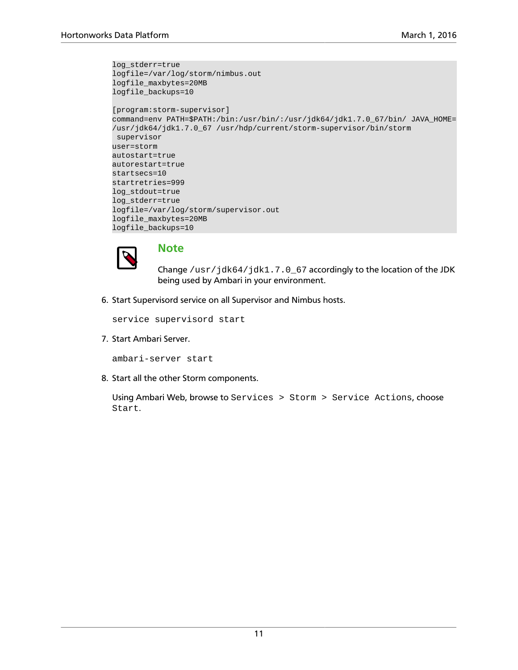```
log_stderr=true
logfile=/var/log/storm/nimbus.out
logfile_maxbytes=20MB
logfile_backups=10
[program:storm-supervisor]
command=env PATH=$PATH:/bin:/usr/bin/:/usr/jdk64/jdk1.7.0_67/bin/ JAVA_HOME=
/usr/jdk64/jdk1.7.0_67 /usr/hdp/current/storm-supervisor/bin/storm
 supervisor
user=storm
autostart=true
autorestart=true
startsecs=10
startretries=999
log_stdout=true
log_stderr=true
logfile=/var/log/storm/supervisor.out
logfile_maxbytes=20MB
logfile_backups=10
```


### **Note**

Change /usr/jdk64/jdk1.7.0\_67 accordingly to the location of the JDK being used by Ambari in your environment.

6. Start Supervisord service on all Supervisor and Nimbus hosts.

service supervisord start

7. Start Ambari Server.

ambari-server start

8. Start all the other Storm components.

Using Ambari Web, browse to Services > Storm > Service Actions, choose Start.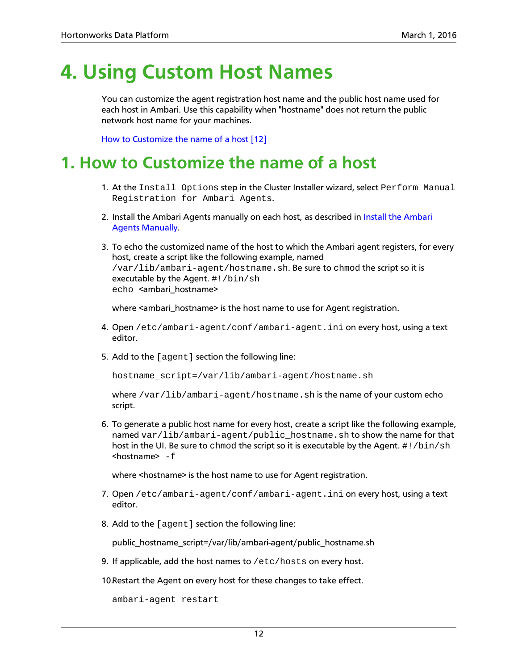# <span id="page-15-0"></span>**4. Using Custom Host Names**

You can customize the agent registration host name and the public host name used for each host in Ambari. Use this capability when "hostname" does not return the public network host name for your machines.

[How to Customize the name of a host \[12\]](#page-15-1)

## <span id="page-15-1"></span>**1. How to Customize the name of a host**

- 1. At the Install Options step in the Cluster Installer wizard, select Perform Manual Registration for Ambari Agents.
- 2. Install the Ambari Agents manually on each host, as described in [Install the Ambari](#page-8-0) [Agents Manually.](#page-8-0)
- 3. To echo the customized name of the host to which the Ambari agent registers, for every host, create a script like the following example, named /var/lib/ambari-agent/hostname.sh. Be sure to chmod the script so it is executable by the Agent.  $\#!/bin/sh$ echo <ambari\_hostname>

where <ambari\_hostname> is the host name to use for Agent registration.

- 4. Open /etc/ambari-agent/conf/ambari-agent.ini on every host, using a text editor.
- 5. Add to the [agent] section the following line:

hostname\_script=/var/lib/ambari-agent/hostname.sh

where  $\sqrt{var/lib/ambari-agent/hostname.sh}$  is the name of your custom echo script.

6. To generate a public host name for every host, create a script like the following example, named  $var/lib/ambari-aqent/public$  hostname.sh to show the name for that host in the UI. Be sure to chmod the script so it is executable by the Agent. #!/bin/sh  $<sub>1</sub>$  hostname $> -f$ </sub>

where <hostname> is the host name to use for Agent registration.

- 7. Open /etc/ambari-agent/conf/ambari-agent.ini on every host, using a text editor.
- 8. Add to the [agent] section the following line:

public\_hostname\_script=/var/lib/ambari-agent/public\_hostname.sh

9. If applicable, add the host names to /etc/hosts on every host.

10.Restart the Agent on every host for these changes to take effect.

ambari-agent restart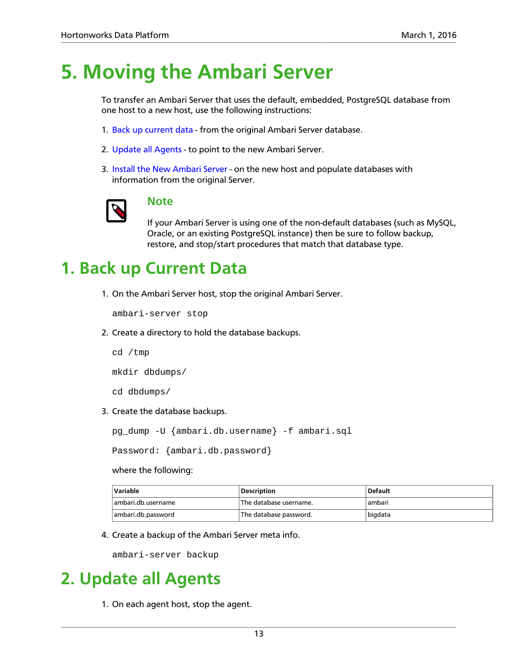# <span id="page-16-0"></span>**5. Moving the Ambari Server**

To transfer an Ambari Server that uses the default, embedded, PostgreSQL database from one host to a new host, use the following instructions:

- 1. [Back up current data](#page-16-1) from the original Ambari Server database.
- 2. [Update all Agents](#page-16-2)  to point to the new Ambari Server.
- 3. [Install the New Ambari Server](#page-17-0)  on the new host and populate databases with information from the original Server.



### **Note**

If your Ambari Server is using one of the non-default databases (such as MySQL, Oracle, or an existing PostgreSQL instance) then be sure to follow backup, restore, and stop/start procedures that match that database type.

# <span id="page-16-1"></span>**1. Back up Current Data**

1. On the Ambari Server host, stop the original Ambari Server.

ambari-server stop

2. Create a directory to hold the database backups.

cd /tmp

mkdir dbdumps/

cd dbdumps/

3. Create the database backups.

pg\_dump -U {ambari.db.username} -f ambari.sql

Password: {ambari.db.password}

where the following:

| Variable           | <b>Description</b>     | <b>Default</b> |
|--------------------|------------------------|----------------|
| ambari.db.username | The database username. | ambari         |
| ambari.db.password | The database password. | bigdata        |

4. Create a backup of the Ambari Server meta info.

ambari-server backup

# <span id="page-16-2"></span>**2. Update all Agents**

1. On each agent host, stop the agent.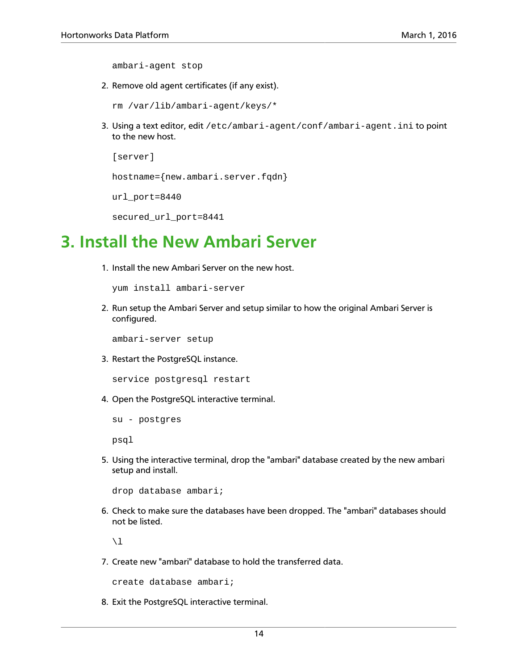ambari-agent stop

2. Remove old agent certificates (if any exist).

```
rm /var/lib/ambari-agent/keys/*
```
3. Using a text editor, edit /etc/ambari-agent/conf/ambari-agent.ini to point to the new host.

```
[server]
```
hostname={new.ambari.server.fqdn}

```
url_port=8440
```

```
secured_url_port=8441
```
## <span id="page-17-0"></span>**3. Install the New Ambari Server**

1. Install the new Ambari Server on the new host.

yum install ambari-server

2. Run setup the Ambari Server and setup similar to how the original Ambari Server is configured.

ambari-server setup

3. Restart the PostgreSQL instance.

service postgresql restart

4. Open the PostgreSQL interactive terminal.

```
su - postgres
```
psql

5. Using the interactive terminal, drop the "ambari" database created by the new ambari setup and install.

drop database ambari;

6. Check to make sure the databases have been dropped. The "ambari" databases should not be listed.

 $\setminus$ l

7. Create new "ambari" database to hold the transferred data.

create database ambari;

8. Exit the PostgreSQL interactive terminal.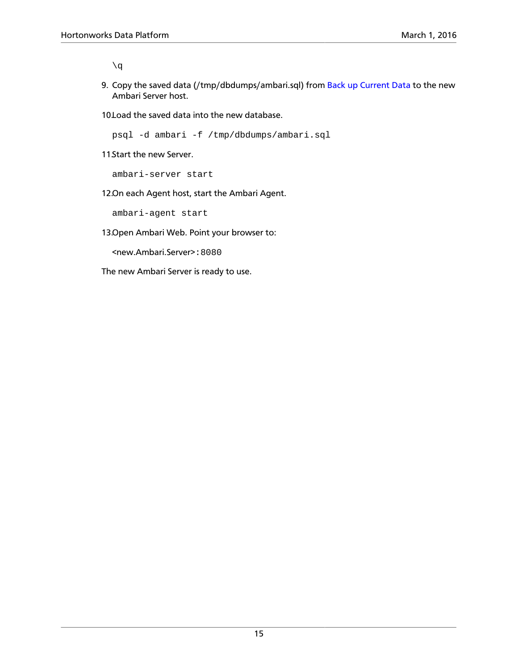$\qquad \qquad \setminus q$ 

9. Copy the saved data (/tmp/dbdumps/ambari.sql) from [Back up Current Data](#page-16-1) to the new Ambari Server host.

10. Load the saved data into the new database.

psql -d ambari -f /tmp/dbdumps/ambari.sql

11 Start the new Server.

ambari-server start

12.On each Agent host, start the Ambari Agent.

ambari-agent start

13.Open Ambari Web. Point your browser to:

<new.Ambari.Server>:8080

The new Ambari Server is ready to use.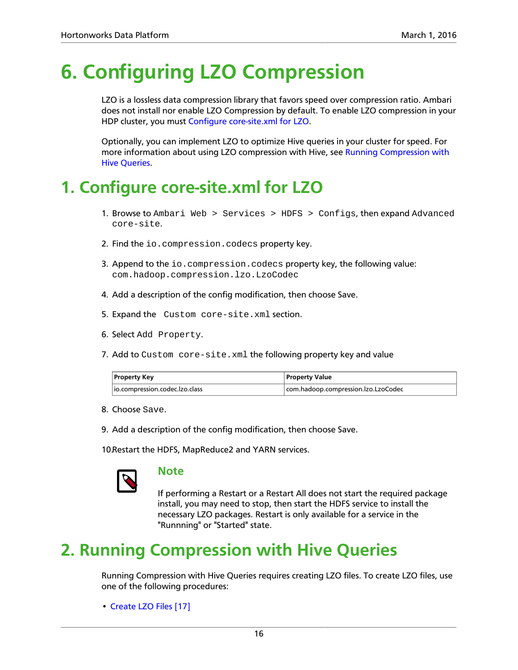# <span id="page-19-0"></span>**6. Configuring LZO Compression**

LZO is a lossless data compression library that favors speed over compression ratio. Ambari does not install nor enable LZO Compression by default. To enable LZO compression in your HDP cluster, you must [Configure core-site.xml for LZO](#page-19-1).

Optionally, you can implement LZO to optimize Hive queries in your cluster for speed. For more information about using LZO compression with Hive, see [Running Compression with](#page-19-2) [Hive Queries](#page-19-2).

# <span id="page-19-1"></span>**1. Configure core-site.xml for LZO**

- 1. Browse to Ambari Web > Services > HDFS > Configs, then expand Advanced core-site.
- 2. Find the io.compression.codecs property key.
- 3. Append to the io.compression.codecs property key, the following value: com.hadoop.compression.lzo.LzoCodec
- 4. Add a description of the config modification, then choose Save.
- 5. Expand the Custom core-site.xml section.
- 6. Select Add Property.
- 7. Add to Custom core-site.xml the following property key and value

| <b>Property Key</b>             | <b>Property Value</b>               |  |
|---------------------------------|-------------------------------------|--|
| lio.compression.codec.lzo.class | com.hadoop.compression.lzo.LzoCodec |  |

- 8. Choose Save.
- 9. Add a description of the config modification, then choose Save.

10.Restart the HDFS, MapReduce2 and YARN services.



#### **Note**

If performing a Restart or a Restart All does not start the required package install, you may need to stop, then start the HDFS service to install the necessary LZO packages. Restart is only available for a service in the "Runnning" or "Started" state.

# <span id="page-19-2"></span>**2. Running Compression with Hive Queries**

Running Compression with Hive Queries requires creating LZO files. To create LZO files, use one of the following procedures:

• [Create LZO Files \[17\]](#page-20-0)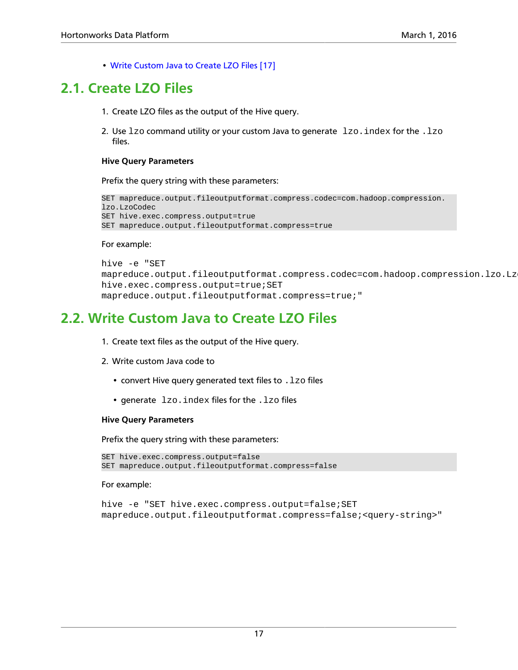• [Write Custom Java to Create LZO Files \[17\]](#page-20-1)

## <span id="page-20-0"></span>**2.1. Create LZO Files**

- 1. Create LZO files as the output of the Hive query.
- 2. Use  $1z_0$  command utility or your custom Java to generate  $1z_0$ . index for the .  $1z_0$ files.

#### **Hive Query Parameters**

Prefix the query string with these parameters:

```
SET mapreduce.output.fileoutputformat.compress.codec=com.hadoop.compression.
lzo.LzoCodec
SET hive.exec.compress.output=true
SET mapreduce.output.fileoutputformat.compress=true
```
#### For example:

```
hive -e "SET
mapreduce.output.fileoutputformat.compress.codec=com.hadoop.compression.lzo.Lz
hive.exec.compress.output=true;SET
mapreduce.output.fileoutputformat.compress=true;"
```
## <span id="page-20-1"></span>**2.2. Write Custom Java to Create LZO Files**

- 1. Create text files as the output of the Hive query.
- 2. Write custom Java code to
	- convert Hive query generated text files to . 1zo files
	- generate lzo. index files for the . lzo files

#### **Hive Query Parameters**

Prefix the query string with these parameters:

```
SET hive.exec.compress.output=false
SET mapreduce.output.fileoutputformat.compress=false
```
For example:

```
hive -e "SET hive.exec.compress.output=false; SET
mapreduce.output.fileoutputformat.compress=false;<query-string>"
```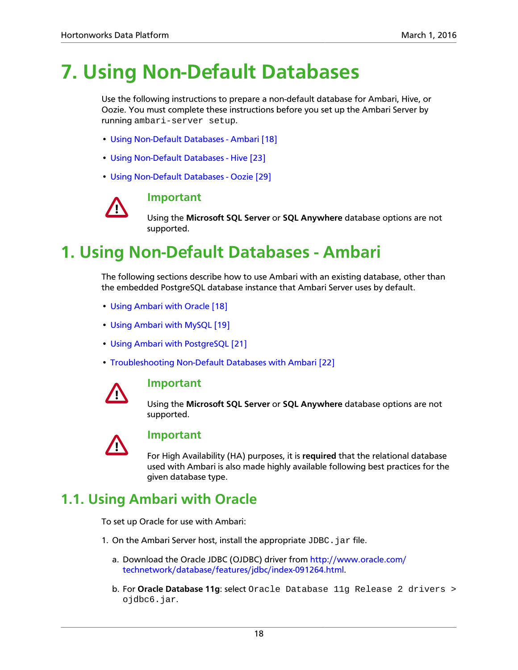# <span id="page-21-0"></span>**7. Using Non-Default Databases**

Use the following instructions to prepare a non-default database for Ambari, Hive, or Oozie. You must complete these instructions before you set up the Ambari Server by running ambari-server setup.

- [Using Non-Default Databases Ambari \[18\]](#page-21-1)
- [Using Non-Default Databases Hive \[23\]](#page-26-0)
- [Using Non-Default Databases Oozie \[29\]](#page-32-0)



### **Important**

Using the **Microsoft SQL Server** or **SQL Anywhere** database options are not supported.

# <span id="page-21-1"></span>**1. Using Non-Default Databases - Ambari**

The following sections describe how to use Ambari with an existing database, other than the embedded PostgreSQL database instance that Ambari Server uses by default.

- [Using Ambari with Oracle \[18\]](#page-21-2)
- [Using Ambari with MySQL \[19\]](#page-22-0)
- [Using Ambari with PostgreSQL \[21\]](#page-24-0)
- [Troubleshooting Non-Default Databases with Ambari \[22\]](#page-25-0)



#### **Important**

Using the **Microsoft SQL Server** or **SQL Anywhere** database options are not supported.



#### **Important**

For High Availability (HA) purposes, it is **required** that the relational database used with Ambari is also made highly available following best practices for the given database type.

## <span id="page-21-2"></span>**1.1. Using Ambari with Oracle**

To set up Oracle for use with Ambari:

- 1. On the Ambari Server host, install the appropriate  $JDBC$ . jar file.
	- a. Download the Oracle JDBC (OJDBC) driver from [http://www.oracle.com/](http://www.oracle.com/technetwork/database/features/jdbc/index-091264.html) [technetwork/database/features/jdbc/index-091264.html.](http://www.oracle.com/technetwork/database/features/jdbc/index-091264.html)
	- b. For **Oracle Database 11g**: select Oracle Database 11g Release 2 drivers > ojdbc6.jar.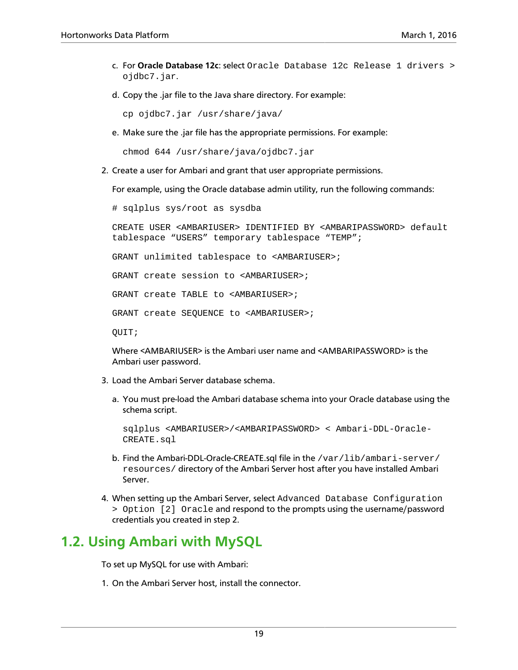- c. For **Oracle Database 12c**: select Oracle Database 12c Release 1 drivers > ojdbc7.jar.
- d. Copy the .jar file to the Java share directory. For example:

cp ojdbc7.jar /usr/share/java/

e. Make sure the .jar file has the appropriate permissions. For example:

chmod 644 /usr/share/java/ojdbc7.jar

2. Create a user for Ambari and grant that user appropriate permissions.

For example, using the Oracle database admin utility, run the following commands:

# sqlplus sys/root as sysdba

CREATE USER <AMBARIUSER> IDENTIFIED BY <AMBARIPASSWORD> default tablespace "USERS" temporary tablespace "TEMP";

GRANT unlimited tablespace to <AMBARIUSER>;

GRANT create session to <AMBARIUSER>;

GRANT create TABLE to <AMBARIUSER>;

GRANT create SEQUENCE to <AMBARIUSER>;

QUIT;

Where <AMBARIUSER> is the Ambari user name and <AMBARIPASSWORD> is the Ambari user password.

- 3. Load the Ambari Server database schema.
	- a. You must pre-load the Ambari database schema into your Oracle database using the schema script.

```
sqlplus <AMBARIUSER>/<AMBARIPASSWORD> < Ambari-DDL-Oracle-
CREATE.sql
```
- b. Find the Ambari-DDL-Oracle-CREATE.sql file in the /var/lib/ambari-server/ resources/ directory of the Ambari Server host after you have installed Ambari Server.
- 4. When setting up the Ambari Server, select Advanced Database Configuration > Option [2] Oracle and respond to the prompts using the username/password credentials you created in step 2.

### <span id="page-22-0"></span>**1.2. Using Ambari with MySQL**

To set up MySQL for use with Ambari:

1. On the Ambari Server host, install the connector.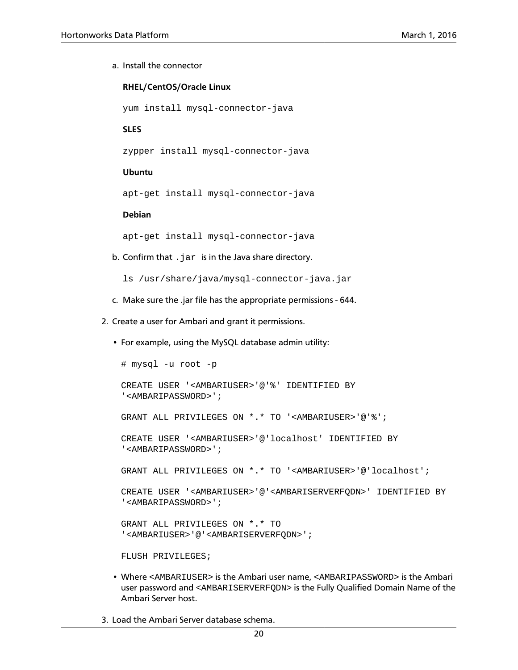#### a. Install the connector

#### **RHEL/CentOS/Oracle Linux**

yum install mysql-connector-java

**SLES**

zypper install mysql-connector-java

#### **Ubuntu**

apt-get install mysql-connector-java

#### **Debian**

apt-get install mysql-connector-java

b. Confirm that  $\Delta$  jar is in the Java share directory.

ls /usr/share/java/mysql-connector-java.jar

- c. Make sure the .jar file has the appropriate permissions 644.
- 2. Create a user for Ambari and grant it permissions.
	- For example, using the MySQL database admin utility:

```
# mysql -u root -p
CREATE USER '<AMBARIUSER>'@'%' IDENTIFIED BY
'<AMBARIPASSWORD>';
GRANT ALL PRIVILEGES ON *.* TO '<AMBARIUSER>'@'%';
CREATE USER '<AMBARIUSER>'@'localhost' IDENTIFIED BY
'<AMBARIPASSWORD>';
GRANT ALL PRIVILEGES ON *.* TO '<AMBARIUSER>'@'localhost';
CREATE USER '<AMBARIUSER>'@'<AMBARISERVERFQDN>' IDENTIFIED BY
'<AMBARIPASSWORD>';
GRANT ALL PRIVILEGES ON *.* TO
'<AMBARIUSER>'@'<AMBARISERVERFQDN>';
FLUSH PRIVILEGES;
```
- Where <AMBARIUSER> is the Ambari user name, <AMBARIPASSWORD> is the Ambari user password and <AMBARISERVERFQDN> is the Fully Qualified Domain Name of the Ambari Server host.
- 3. Load the Ambari Server database schema.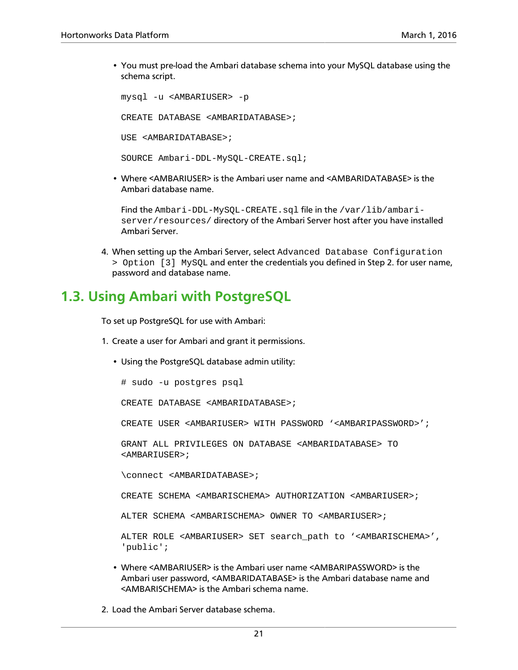• You must pre-load the Ambari database schema into your MySQL database using the schema script.

mysql -u <AMBARIUSER> -p CREATE DATABASE <AMBARIDATABASE>; USE <AMBARIDATABASE>; SOURCE Ambari-DDL-MySQL-CREATE.sql;

• Where <AMBARIUSER> is the Ambari user name and <AMBARIDATABASE> is the Ambari database name.

Find the Ambari-DDL-MySQL-CREATE.sql file in the /var/lib/ambariserver/resources/ directory of the Ambari Server host after you have installed Ambari Server.

4. When setting up the Ambari Server, select Advanced Database Configuration > Option [3] MySQL and enter the credentials you defined in Step 2. for user name, password and database name.

## <span id="page-24-0"></span>**1.3. Using Ambari with PostgreSQL**

To set up PostgreSQL for use with Ambari:

- 1. Create a user for Ambari and grant it permissions.
	- Using the PostgreSQL database admin utility:

# sudo -u postgres psql

CREATE DATABASE <AMBARIDATABASE>;

CREATE USER <AMBARIUSER> WITH PASSWORD '<AMBARIPASSWORD>';

GRANT ALL PRIVILEGES ON DATABASE <AMBARIDATABASE> TO <AMBARIUSER>;

\connect <AMBARIDATABASE>;

CREATE SCHEMA <AMBARISCHEMA> AUTHORIZATION <AMBARIUSER>;

ALTER SCHEMA <AMBARISCHEMA> OWNER TO <AMBARIUSER>;

ALTER ROLE <AMBARIUSER> SET search\_path to '<AMBARISCHEMA>', 'public';

- Where <AMBARIUSER> is the Ambari user name <AMBARIPASSWORD> is the Ambari user password, <AMBARIDATABASE> is the Ambari database name and <AMBARISCHEMA> is the Ambari schema name.
- 2. Load the Ambari Server database schema.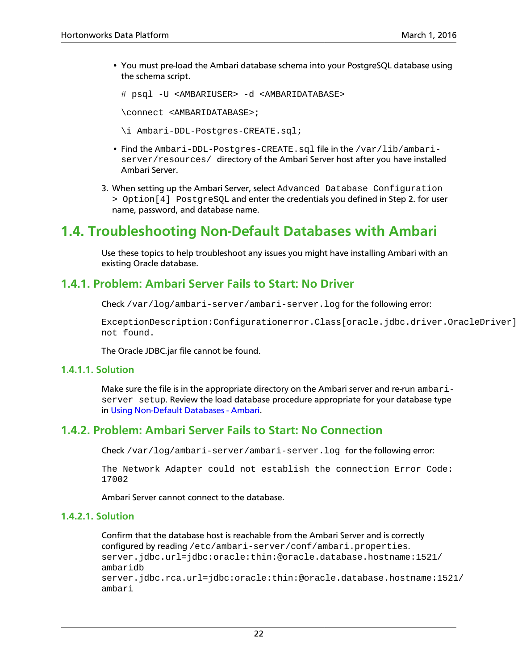• You must pre-load the Ambari database schema into your PostgreSQL database using the schema script.

# psql -U <AMBARIUSER> -d <AMBARIDATABASE>

\connect <AMBARIDATABASE>;

\i Ambari-DDL-Postgres-CREATE.sql;

- Find the Ambari-DDL-Postgres-CREATE.sql file in the /var/lib/ambariserver/resources/ directory of the Ambari Server host after you have installed Ambari Server.
- 3. When setting up the Ambari Server, select Advanced Database Configuration > Option[4] PostgreSQL and enter the credentials you defined in Step 2. for user name, password, and database name.

## <span id="page-25-0"></span>**1.4. Troubleshooting Non-Default Databases with Ambari**

Use these topics to help troubleshoot any issues you might have installing Ambari with an existing Oracle database.

### **1.4.1. Problem: Ambari Server Fails to Start: No Driver**

Check /var/log/ambari-server/ambari-server.log for the following error:

ExceptionDescription:Configurationerror.Class[oracle.jdbc.driver.OracleDriver] not found.

The Oracle JDBC.jar file cannot be found.

#### **1.4.1.1. Solution**

Make sure the file is in the appropriate directory on the Ambari server and re-run ambariserver setup. Review the load database procedure appropriate for your database type in [Using Non-Default Databases - Ambari](#page-21-1).

### **1.4.2. Problem: Ambari Server Fails to Start: No Connection**

Check /var/log/ambari-server/ambari-server.log for the following error:

The Network Adapter could not establish the connection Error Code: 17002

Ambari Server cannot connect to the database.

#### **1.4.2.1. Solution**

Confirm that the database host is reachable from the Ambari Server and is correctly configured by reading /etc/ambari-server/conf/ambari.properties. server.jdbc.url=jdbc:oracle:thin:@oracle.database.hostname:1521/ ambaridb server.jdbc.rca.url=jdbc:oracle:thin:@oracle.database.hostname:1521/ ambari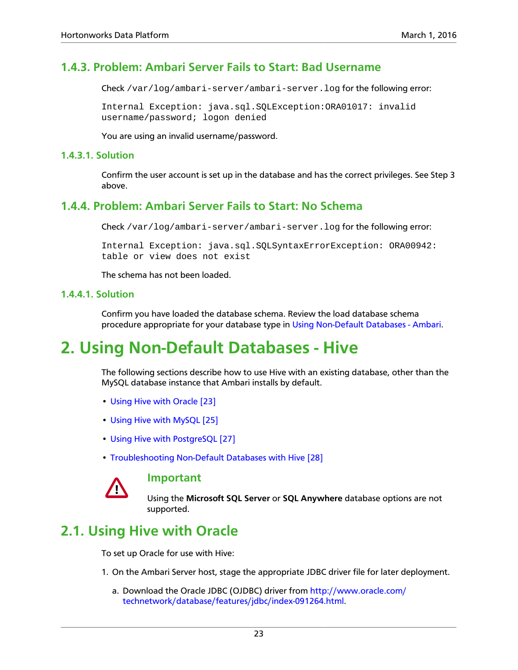### **1.4.3. Problem: Ambari Server Fails to Start: Bad Username**

Check /var/log/ambari-server/ambari-server.log for the following error:

Internal Exception: java.sql.SQLException:ORA01017: invalid username/password; logon denied

You are using an invalid username/password.

#### **1.4.3.1. Solution**

Confirm the user account is set up in the database and has the correct privileges. See Step 3 above.

### **1.4.4. Problem: Ambari Server Fails to Start: No Schema**

Check /var/log/ambari-server/ambari-server.log for the following error:

Internal Exception: java.sql.SQLSyntaxErrorException: ORA00942: table or view does not exist

The schema has not been loaded.

#### **1.4.4.1. Solution**

Confirm you have loaded the database schema. Review the load database schema procedure appropriate for your database type in [Using Non-Default Databases - Ambari.](#page-21-1)

# <span id="page-26-0"></span>**2. Using Non-Default Databases - Hive**

The following sections describe how to use Hive with an existing database, other than the MySQL database instance that Ambari installs by default.

- [Using Hive with Oracle \[23\]](#page-26-1)
- [Using Hive with MySQL \[25\]](#page-28-0)
- [Using Hive with PostgreSQL \[27\]](#page-30-0)
- [Troubleshooting Non-Default Databases with Hive \[28\]](#page-31-0)



#### **Important**

Using the **Microsoft SQL Server** or **SQL Anywhere** database options are not supported.

## <span id="page-26-1"></span>**2.1. Using Hive with Oracle**

To set up Oracle for use with Hive:

- 1. On the Ambari Server host, stage the appropriate JDBC driver file for later deployment.
	- a. Download the Oracle JDBC (OJDBC) driver from [http://www.oracle.com/](http://www.oracle.com/technetwork/database/features/jdbc/index-091264.html) [technetwork/database/features/jdbc/index-091264.html.](http://www.oracle.com/technetwork/database/features/jdbc/index-091264.html)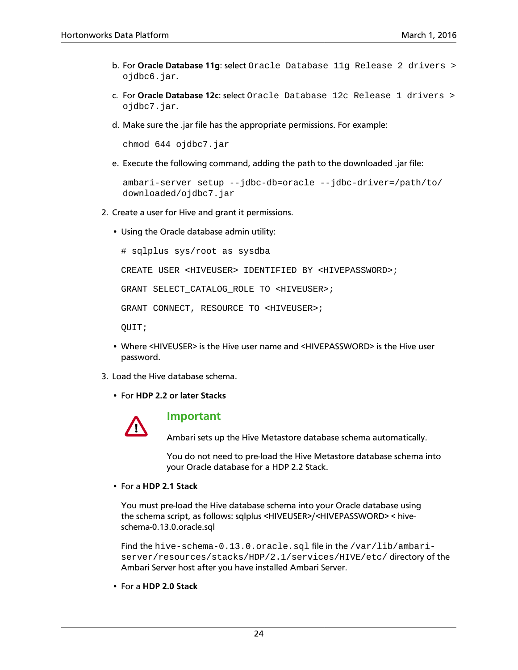- b. For **Oracle Database 11g**: select Oracle Database 11g Release 2 drivers > ojdbc6.jar.
- c. For **Oracle Database 12c**: select Oracle Database 12c Release 1 drivers > ojdbc7.jar.
- d. Make sure the .jar file has the appropriate permissions. For example:

chmod 644 ojdbc7.jar

e. Execute the following command, adding the path to the downloaded .jar file:

```
ambari-server setup --jdbc-db=oracle --jdbc-driver=/path/to/
downloaded/ojdbc7.jar
```
- 2. Create a user for Hive and grant it permissions.
	- Using the Oracle database admin utility:

# sqlplus sys/root as sysdba

CREATE USER <HIVEUSER> IDENTIFIED BY <HIVEPASSWORD>;

GRANT SELECT\_CATALOG\_ROLE TO <HIVEUSER>;

GRANT CONNECT, RESOURCE TO <HIVEUSER>;

QUIT;

- Where <HIVEUSER> is the Hive user name and <HIVEPASSWORD> is the Hive user password.
- 3. Load the Hive database schema.
	- For **HDP 2.2 or later Stacks**



#### **Important**

Ambari sets up the Hive Metastore database schema automatically.

You do not need to pre-load the Hive Metastore database schema into your Oracle database for a HDP 2.2 Stack.

• For a **HDP 2.1 Stack**

You must pre-load the Hive database schema into your Oracle database using the schema script, as follows: sqlplus <HIVEUSER>/<HIVEPASSWORD> < hiveschema-0.13.0.oracle.sql

Find the hive-schema-0.13.0.oracle.sql file in the /var/lib/ambariserver/resources/stacks/HDP/2.1/services/HIVE/etc/ directory of the Ambari Server host after you have installed Ambari Server.

• For a **HDP 2.0 Stack**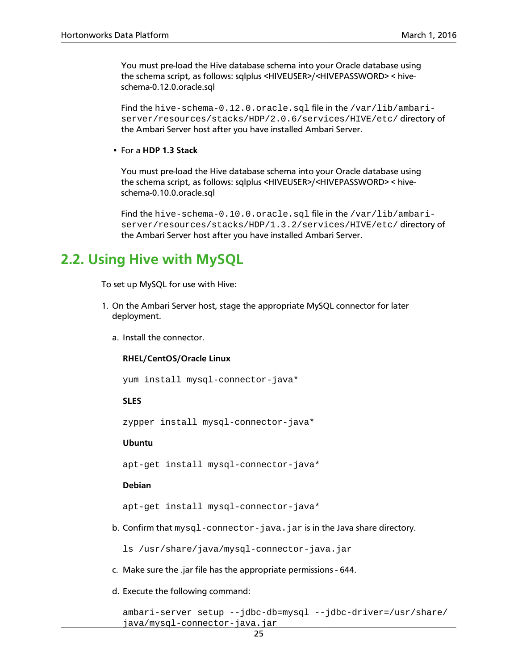You must pre-load the Hive database schema into your Oracle database using the schema script, as follows: sqlplus <HIVEUSER>/<HIVEPASSWORD> < hiveschema-0.12.0.oracle.sql

Find the hive-schema-0.12.0.oracle.sql file in the /var/lib/ambariserver/resources/stacks/HDP/2.0.6/services/HIVE/etc/ directory of the Ambari Server host after you have installed Ambari Server.

• For a **HDP 1.3 Stack**

You must pre-load the Hive database schema into your Oracle database using the schema script, as follows: sqlplus <HIVEUSER>/<HIVEPASSWORD> < hiveschema-0.10.0.oracle.sql

Find the hive-schema-0.10.0.oracle.sql file in the /var/lib/ambariserver/resources/stacks/HDP/1.3.2/services/HIVE/etc/ directory of the Ambari Server host after you have installed Ambari Server.

## <span id="page-28-0"></span>**2.2. Using Hive with MySQL**

To set up MySQL for use with Hive:

- 1. On the Ambari Server host, stage the appropriate MySQL connector for later deployment.
	- a. Install the connector.

#### **RHEL/CentOS/Oracle Linux**

yum install mysql-connector-java\*

#### **SLES**

zypper install mysql-connector-java\*

#### **Ubuntu**

apt-get install mysql-connector-java\*

#### **Debian**

apt-get install mysql-connector-java\*

b. Confirm that  $mysql-convector-java$ . jar is in the Java share directory.

ls /usr/share/java/mysql-connector-java.jar

- c. Make sure the .jar file has the appropriate permissions 644.
- d. Execute the following command:

```
ambari-server setup --jdbc-db=mysql --jdbc-driver=/usr/share/
java/mysql-connector-java.jar
```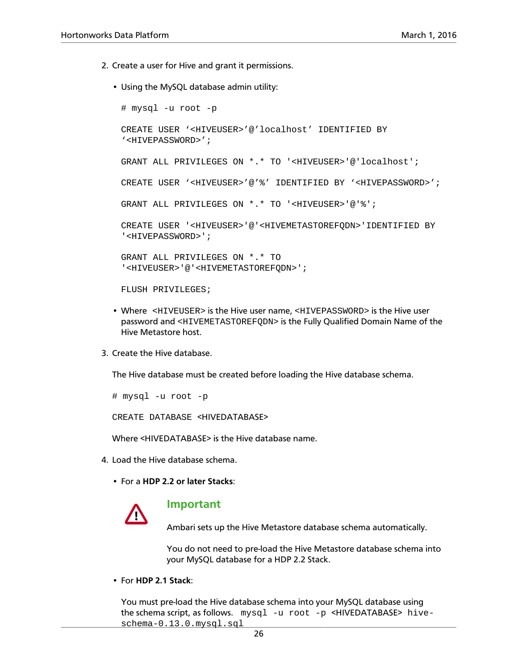- 2. Create a user for Hive and grant it permissions.
	- Using the MySQL database admin utility:

```
# mysql -u root -p
CREATE USER '<HIVEUSER>'@'localhost' IDENTIFIED BY
'<HIVEPASSWORD>';
GRANT ALL PRIVILEGES ON *.* TO '<HIVEUSER>'@'localhost';
CREATE USER '<HIVEUSER>'@'%' IDENTIFIED BY '<HIVEPASSWORD>';
GRANT ALL PRIVILEGES ON *.* TO '<HIVEUSER>'@'%';
CREATE USER '<HIVEUSER>'@'<HIVEMETASTOREFQDN>'IDENTIFIED BY
'<HIVEPASSWORD>';
GRANT ALL PRIVILEGES ON *.* TO
'<HIVEUSER>'@'<HIVEMETASTOREFQDN>';
FLUSH PRIVILEGES;
```
- Where <HIVEUSER> is the Hive user name, <HIVEPASSWORD> is the Hive user password and <HIVEMETASTOREFQDN> is the Fully Qualified Domain Name of the Hive Metastore host.
- 3. Create the Hive database.

The Hive database must be created before loading the Hive database schema.

# mysql -u root -p

CREATE DATABASE <HIVEDATABASE>

Where <HIVEDATABASE> is the Hive database name.

- 4. Load the Hive database schema.
	- For a **HDP 2.2 or later Stacks**:



#### **Important**

Ambari sets up the Hive Metastore database schema automatically.

You do not need to pre-load the Hive Metastore database schema into your MySQL database for a HDP 2.2 Stack.

• For **HDP 2.1 Stack**:

You must pre-load the Hive database schema into your MySQL database using the schema script, as follows. mysql -u root -p <HIVEDATABASE> hiveschema-0.13.0.mysql.sql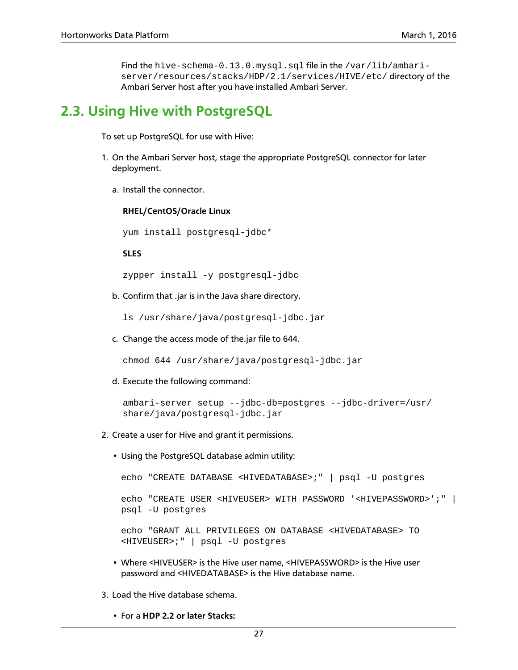Find the hive-schema-0.13.0.mysql.sql file in the /var/lib/ambariserver/resources/stacks/HDP/2.1/services/HIVE/etc/ directory of the Ambari Server host after you have installed Ambari Server.

## <span id="page-30-0"></span>**2.3. Using Hive with PostgreSQL**

To set up PostgreSQL for use with Hive:

- 1. On the Ambari Server host, stage the appropriate PostgreSQL connector for later deployment.
	- a. Install the connector.

**RHEL/CentOS/Oracle Linux**

yum install postgresql-jdbc\*

**SLES**

zypper install -y postgresql-jdbc

b. Confirm that .jar is in the Java share directory.

ls /usr/share/java/postgresql-jdbc.jar

c. Change the access mode of the.jar file to 644.

chmod 644 /usr/share/java/postgresql-jdbc.jar

d. Execute the following command:

```
ambari-server setup --jdbc-db=postgres --jdbc-driver=/usr/
share/java/postgresql-jdbc.jar
```
- 2. Create a user for Hive and grant it permissions.
	- Using the PostgreSQL database admin utility:

echo "CREATE DATABASE <HIVEDATABASE>;" | psql -U postgres

```
echo "CREATE USER <HIVEUSER> WITH PASSWORD '<HIVEPASSWORD>';" |
psql -U postgres
```

```
echo "GRANT ALL PRIVILEGES ON DATABASE <HIVEDATABASE> TO
<HIVEUSER>;" | psql -U postgres
```
- Where <HIVEUSER> is the Hive user name, <HIVEPASSWORD> is the Hive user password and <HIVEDATABASE> is the Hive database name.
- 3. Load the Hive database schema.
	- For a **HDP 2.2 or later Stacks:**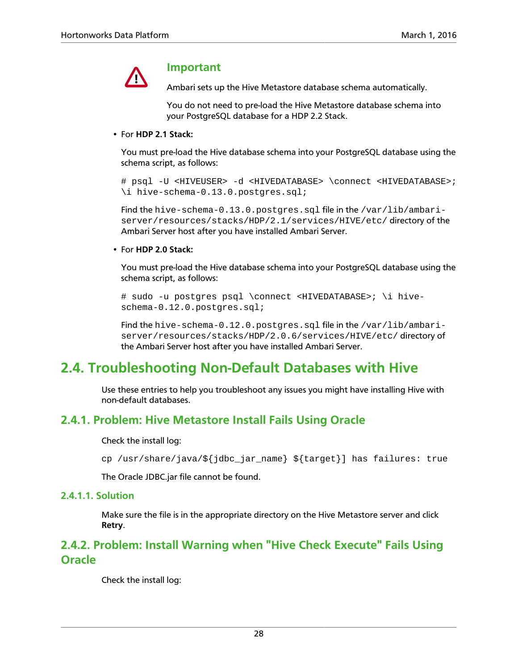

#### **Important**

Ambari sets up the Hive Metastore database schema automatically.

You do not need to pre-load the Hive Metastore database schema into your PostgreSQL database for a HDP 2.2 Stack.

#### • For **HDP 2.1 Stack:**

You must pre-load the Hive database schema into your PostgreSQL database using the schema script, as follows:

# psql -U <HIVEUSER> -d <HIVEDATABASE> \connect <HIVEDATABASE>; \i hive-schema-0.13.0.postgres.sql;

Find the hive-schema-0.13.0.postgres.sql file in the /var/lib/ambariserver/resources/stacks/HDP/2.1/services/HIVE/etc/ directory of the Ambari Server host after you have installed Ambari Server.

#### • For **HDP 2.0 Stack:**

You must pre-load the Hive database schema into your PostgreSQL database using the schema script, as follows:

# sudo -u postgres psql \connect <HIVEDATABASE>; \i hiveschema-0.12.0.postgres.sql;

Find the hive-schema-0.12.0.postgres.sql file in the /var/lib/ambariserver/resources/stacks/HDP/2.0.6/services/HIVE/etc/ directory of the Ambari Server host after you have installed Ambari Server.

## <span id="page-31-0"></span>**2.4. Troubleshooting Non-Default Databases with Hive**

Use these entries to help you troubleshoot any issues you might have installing Hive with non-default databases.

### **2.4.1. Problem: Hive Metastore Install Fails Using Oracle**

Check the install log:

cp /usr/share/java/\${jdbc\_jar\_name} \${target}] has failures: true

The Oracle JDBC.jar file cannot be found.

#### **2.4.1.1. Solution**

Make sure the file is in the appropriate directory on the Hive Metastore server and click **Retry**.

### **2.4.2. Problem: Install Warning when "Hive Check Execute" Fails Using Oracle**

Check the install log: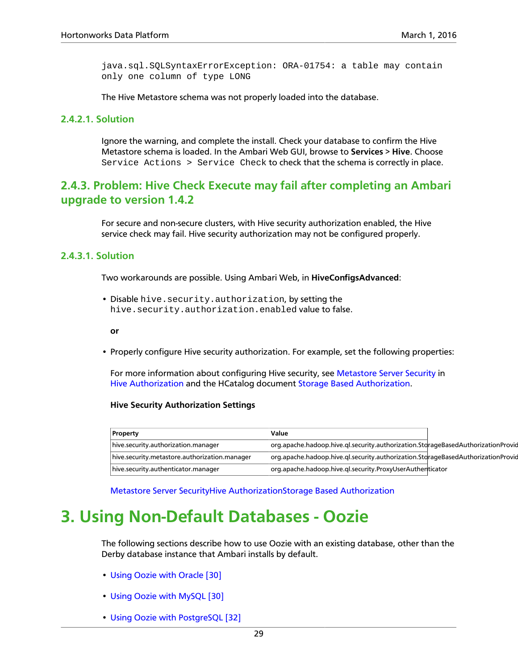java.sql.SQLSyntaxErrorException: ORA-01754: a table may contain only one column of type LONG

The Hive Metastore schema was not properly loaded into the database.

#### **2.4.2.1. Solution**

Ignore the warning, and complete the install. Check your database to confirm the Hive Metastore schema is loaded. In the Ambari Web GUI, browse to **Services** > **Hive**. Choose Service Actions > Service Check to check that the schema is correctly in place.

### **2.4.3. Problem: Hive Check Execute may fail after completing an Ambari upgrade to version 1.4.2**

For secure and non-secure clusters, with Hive security authorization enabled, the Hive service check may fail. Hive security authorization may not be configured properly.

#### **2.4.3.1. Solution**

Two workarounds are possible. Using Ambari Web, in **HiveConfigsAdvanced**:

• Disable hive.security.authorization, by setting the hive.security.authorization.enabled value to false.

**or**

• Properly configure Hive security authorization. For example, set the following properties:

For more information about configuring Hive security, see [Metastore Server Security](https://cwiki.apache.org/confluence/display/Hive/LanguageManual+Authorization#LanguageManualAuthorization-MetastoreServerSecurity) in [Hive Authorization](https://cwiki.apache.org/confluence/display/Hive/LanguageManual+Authorization) and the HCatalog document [Storage Based Authorization.](https://docs.hortonworks.com/HDPDocuments/HDP2/HDP-2.0.9.1/bk_using_Ambari_book/content/ambari-chaplast-1-1.html)

#### **Hive Security Authorization Settings**

| Property                                      | Value                                                                            |  |
|-----------------------------------------------|----------------------------------------------------------------------------------|--|
| hive.security.authorization.manager           | org.apache.hadoop.hive.gl.security.authorization.StorageBasedAuthorizationProvic |  |
| hive.security.metastore.authorization.manager | org.apache.hadoop.hive.gl.security.authorization.StorageBasedAuthorizationProvic |  |
| hive.security.authenticator.manager           | org.apache.hadoop.hive.gl.security.ProxyUserAuthenticator                        |  |

[Metastore Server Security](https://cwiki.apache.org/confluence/display/Hive/LanguageManual+Authorization#LanguageManualAuthorization-MetastoreServerSecurity)[Hive Authorization](https://cwiki.apache.org/confluence/display/Hive/LanguageManual+Authorization)[Storage Based Authorization](https://docs.hortonworks.com/HDPDocuments/HDP2/HDP-2.0.9.1/bk_using_Ambari_book/content/ambari-chaplast-1-1.html)

## <span id="page-32-0"></span>**3. Using Non-Default Databases - Oozie**

The following sections describe how to use Oozie with an existing database, other than the Derby database instance that Ambari installs by default.

- [Using Oozie with Oracle \[30\]](#page-33-0)
- [Using Oozie with MySQL \[30\]](#page-33-1)
- [Using Oozie with PostgreSQL \[32\]](#page-35-0)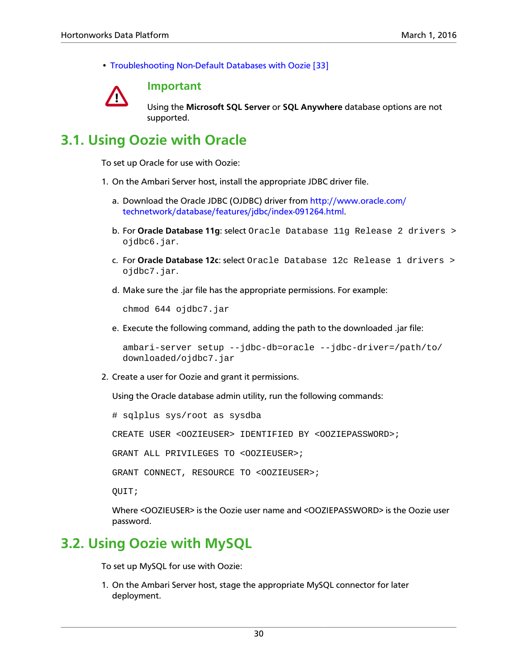• [Troubleshooting Non-Default Databases with Oozie \[33\]](#page-36-0)



#### **Important**

Using the **Microsoft SQL Server** or **SQL Anywhere** database options are not supported.

## <span id="page-33-0"></span>**3.1. Using Oozie with Oracle**

To set up Oracle for use with Oozie:

- 1. On the Ambari Server host, install the appropriate JDBC driver file.
	- a. Download the Oracle JDBC (OJDBC) driver from [http://www.oracle.com/](http://www.oracle.com/technetwork/database/features/jdbc/index-091264.html) [technetwork/database/features/jdbc/index-091264.html.](http://www.oracle.com/technetwork/database/features/jdbc/index-091264.html)
	- b. For **Oracle Database 11g**: select Oracle Database 11g Release 2 drivers > ojdbc6.jar.
	- c. For **Oracle Database 12c**: select Oracle Database 12c Release 1 drivers > ojdbc7.jar.
	- d. Make sure the .jar file has the appropriate permissions. For example:

chmod 644 ojdbc7.jar

e. Execute the following command, adding the path to the downloaded .jar file:

```
ambari-server setup --jdbc-db=oracle --jdbc-driver=/path/to/
downloaded/ojdbc7.jar
```
2. Create a user for Oozie and grant it permissions.

Using the Oracle database admin utility, run the following commands:

# sqlplus sys/root as sysdba

CREATE USER <OOZIEUSER> IDENTIFIED BY <OOZIEPASSWORD>;

GRANT ALL PRIVILEGES TO <OOZIEUSER>;

GRANT CONNECT, RESOURCE TO <OOZIEUSER>;

QUIT;

Where <OOZIEUSER> is the Oozie user name and <OOZIEPASSWORD> is the Oozie user password.

## <span id="page-33-1"></span>**3.2. Using Oozie with MySQL**

To set up MySQL for use with Oozie:

1. On the Ambari Server host, stage the appropriate MySQL connector for later deployment.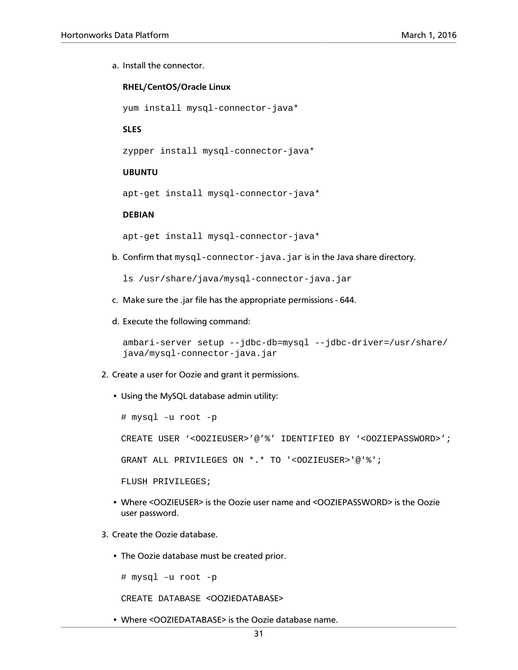a. Install the connector.

#### **RHEL/CentOS/Oracle Linux**

yum install mysql-connector-java\*

#### **SLES**

zypper install mysql-connector-java\*

#### **UBUNTU**

apt-get install mysql-connector-java\*

#### **DEBIAN**

apt-get install mysql-connector-java\*

b. Confirm that  $mysql-convector-java$ . jar is in the Java share directory.

ls /usr/share/java/mysql-connector-java.jar

- c. Make sure the .jar file has the appropriate permissions 644.
- d. Execute the following command:

```
ambari-server setup --jdbc-db=mysql --jdbc-driver=/usr/share/
java/mysql-connector-java.jar
```
- 2. Create a user for Oozie and grant it permissions.
	- Using the MySQL database admin utility:

```
# mysql -u root -p
CREATE USER '<OOZIEUSER>'@'%' IDENTIFIED BY '<OOZIEPASSWORD>';
GRANT ALL PRIVILEGES ON *.* TO '<OOZIEUSER>'@'%';
FLUSH PRIVILEGES;
```
- Where <OOZIEUSER> is the Oozie user name and <OOZIEPASSWORD> is the Oozie user password.
- 3. Create the Oozie database.
	- The Oozie database must be created prior.

# mysql -u root -p

CREATE DATABASE <OOZIEDATABASE>

• Where <OOZIEDATABASE> is the Oozie database name.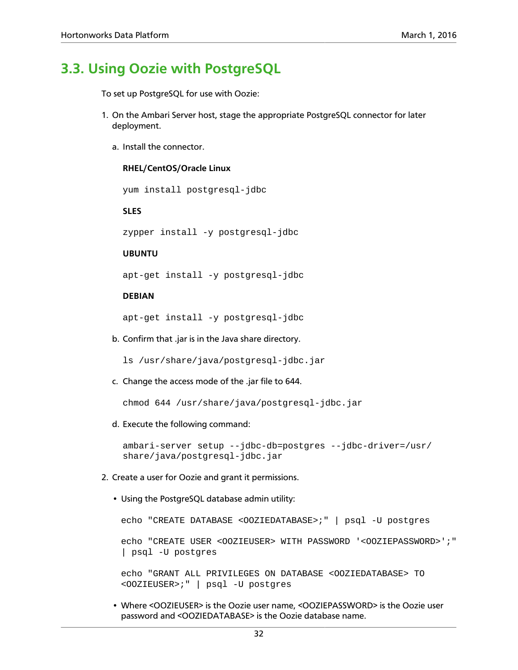### <span id="page-35-0"></span>**3.3. Using Oozie with PostgreSQL**

To set up PostgreSQL for use with Oozie:

- 1. On the Ambari Server host, stage the appropriate PostgreSQL connector for later deployment.
	- a. Install the connector.

#### **RHEL/CentOS/Oracle Linux**

yum install postgresql-jdbc

**SLES**

zypper install -y postgresql-jdbc

#### **UBUNTU**

apt-get install -y postgresql-jdbc

#### **DEBIAN**

apt-get install -y postgresql-jdbc

b. Confirm that .jar is in the Java share directory.

ls /usr/share/java/postgresql-jdbc.jar

c. Change the access mode of the .jar file to 644.

chmod 644 /usr/share/java/postgresql-jdbc.jar

d. Execute the following command:

ambari-server setup --jdbc-db=postgres --jdbc-driver=/usr/ share/java/postgresql-jdbc.jar

- 2. Create a user for Oozie and grant it permissions.
	- Using the PostgreSQL database admin utility:

```
echo "CREATE DATABASE <OOZIEDATABASE>;" | psql -U postgres
echo "CREATE USER <OOZIEUSER> WITH PASSWORD '<OOZIEPASSWORD>';"
| psql -U postgres
```

```
echo "GRANT ALL PRIVILEGES ON DATABASE <OOZIEDATABASE> TO
<OOZIEUSER>;" | psql -U postgres
```
• Where <OOZIEUSER> is the Oozie user name, <OOZIEPASSWORD> is the Oozie user password and <OOZIEDATABASE> is the Oozie database name.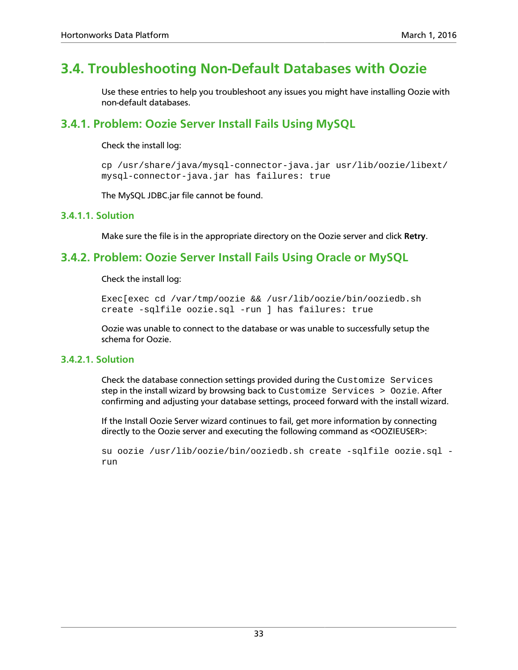## <span id="page-36-0"></span>**3.4. Troubleshooting Non-Default Databases with Oozie**

Use these entries to help you troubleshoot any issues you might have installing Oozie with non-default databases.

### **3.4.1. Problem: Oozie Server Install Fails Using MySQL**

#### Check the install log:

cp /usr/share/java/mysql-connector-java.jar usr/lib/oozie/libext/ mysql-connector-java.jar has failures: true

The MySQL JDBC.jar file cannot be found.

#### **3.4.1.1. Solution**

Make sure the file is in the appropriate directory on the Oozie server and click **Retry**.

### **3.4.2. Problem: Oozie Server Install Fails Using Oracle or MySQL**

#### Check the install log:

Exec[exec cd /var/tmp/oozie && /usr/lib/oozie/bin/ooziedb.sh create -sqlfile oozie.sql -run ] has failures: true

Oozie was unable to connect to the database or was unable to successfully setup the schema for Oozie.

#### **3.4.2.1. Solution**

Check the database connection settings provided during the Customize Services step in the install wizard by browsing back to Customize Services > Oozie. After confirming and adjusting your database settings, proceed forward with the install wizard.

If the Install Oozie Server wizard continues to fail, get more information by connecting directly to the Oozie server and executing the following command as <OOZIEUSER>:

su oozie /usr/lib/oozie/bin/ooziedb.sh create -sqlfile oozie.sql run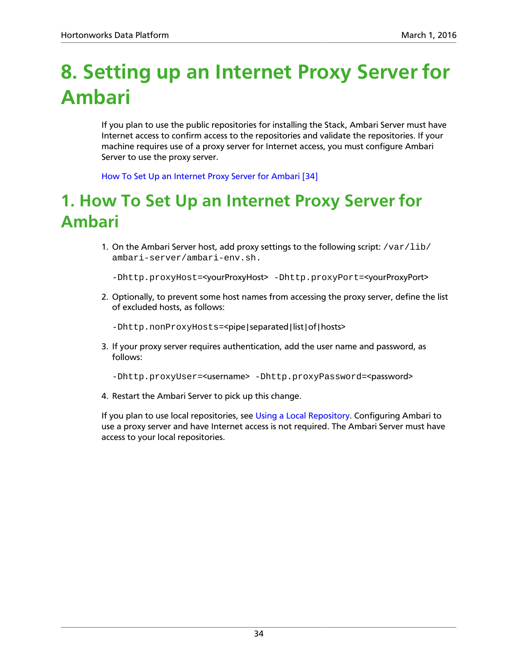# <span id="page-37-0"></span>**8. Setting up an Internet Proxy Server for Ambari**

If you plan to use the public repositories for installing the Stack, Ambari Server must have Internet access to confirm access to the repositories and validate the repositories. If your machine requires use of a proxy server for Internet access, you must configure Ambari Server to use the proxy server.

[How To Set Up an Internet Proxy Server for Ambari \[34\]](#page-37-1)

# <span id="page-37-1"></span>**1. How To Set Up an Internet Proxy Server for Ambari**

1. On the Ambari Server host, add proxy settings to the following script: /var/lib/ ambari-server/ambari-env.sh.

-Dhttp.proxyHost=<yourProxyHost> -Dhttp.proxyPort=<yourProxyPort>

2. Optionally, to prevent some host names from accessing the proxy server, define the list of excluded hosts, as follows:

-Dhttp.nonProxyHosts=<pipe|separated|list|of|hosts>

3. If your proxy server requires authentication, add the user name and password, as follows:

-Dhttp.proxyUser=<username> -Dhttp.proxyPassword=<password>

4. Restart the Ambari Server to pick up this change.

If you plan to use local repositories, see [Using a Local Repository](https://docs.hortonworks.com/HDPDocuments/Ambari-2.2.1.0/bk_Installing_HDP_AMB/content/_using_a_local_repository.html). Configuring Ambari to use a proxy server and have Internet access is not required. The Ambari Server must have access to your local repositories.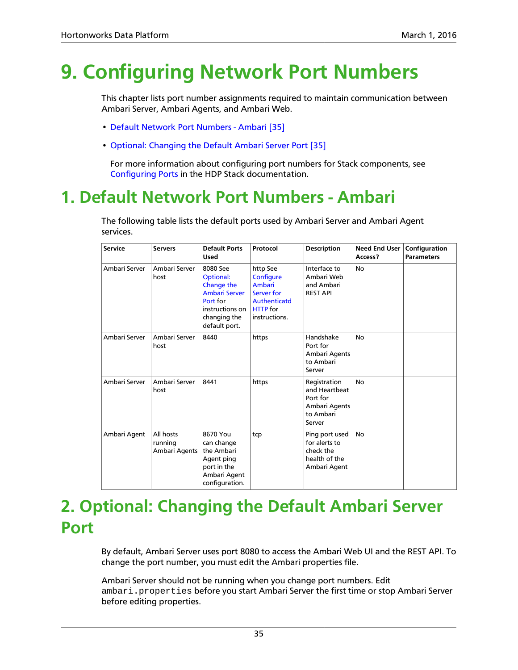# <span id="page-38-0"></span>**9. Configuring Network Port Numbers**

This chapter lists port number assignments required to maintain communication between Ambari Server, Ambari Agents, and Ambari Web.

- [Default Network Port Numbers Ambari \[35\]](#page-38-1)
- [Optional: Changing the Default Ambari Server Port \[35\]](#page-38-2)

For more information about configuring port numbers for Stack components, see [Configuring Ports](https://docs.hortonworks.com/HDPDocuments/HDP2/HDP-2.4.0/bk_HDP_Reference_Guide/content/reference_chap2.html) in the HDP Stack documentation.

# <span id="page-38-1"></span>**1. Default Network Port Numbers - Ambari**

The following table lists the default ports used by Ambari Server and Ambari Agent services.

| <b>Service</b> | <b>Servers</b>                        | <b>Default Ports</b><br><b>Used</b>                                                                                                | Protocol                                                                                                        | <b>Description</b>                                                                | <b>Need End User</b><br>Access? | Configuration<br><b>Parameters</b> |
|----------------|---------------------------------------|------------------------------------------------------------------------------------------------------------------------------------|-----------------------------------------------------------------------------------------------------------------|-----------------------------------------------------------------------------------|---------------------------------|------------------------------------|
| Ambari Server  | Ambari Server<br>host                 | 8080 See<br><b>Optional:</b><br>Change the<br><b>Ambari Server</b><br>Port for<br>instructions on<br>changing the<br>default port. | http See<br>Configure<br><b>Ambari</b><br>Server for<br><b>Authenticatd</b><br><b>HTTP</b> for<br>instructions. | Interface to<br>Ambari Web<br>and Ambari<br><b>REST API</b>                       | No                              |                                    |
| Ambari Server  | Ambari Server<br>host                 | 8440                                                                                                                               | https                                                                                                           | Handshake<br>Port for<br>Ambari Agents<br>to Ambari<br>Server                     | No                              |                                    |
| Ambari Server  | Ambari Server<br>host                 | 8441                                                                                                                               | https                                                                                                           | Registration<br>and Heartbeat<br>Port for<br>Ambari Agents<br>to Ambari<br>Server | No                              |                                    |
| Ambari Agent   | All hosts<br>running<br>Ambari Agents | 8670 You<br>can change<br>the Ambari<br>Agent ping<br>port in the<br>Ambari Agent<br>configuration.                                | tcp                                                                                                             | Ping port used<br>for alerts to<br>check the<br>health of the<br>Ambari Agent     | <b>No</b>                       |                                    |

# <span id="page-38-2"></span>**2. Optional: Changing the Default Ambari Server Port**

By default, Ambari Server uses port 8080 to access the Ambari Web UI and the REST API. To change the port number, you must edit the Ambari properties file.

Ambari Server should not be running when you change port numbers. Edit ambari.properties before you start Ambari Server the first time or stop Ambari Server before editing properties.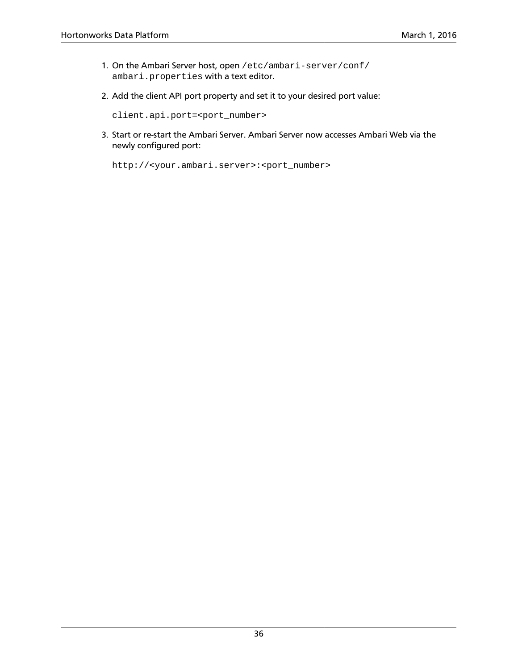- 1. On the Ambari Server host, open /etc/ambari-server/conf/ ambari.properties with a text editor.
- 2. Add the client API port property and set it to your desired port value:

client.api.port=<port\_number>

3. Start or re-start the Ambari Server. Ambari Server now accesses Ambari Web via the newly configured port:

http://<your.ambari.server>:<port\_number>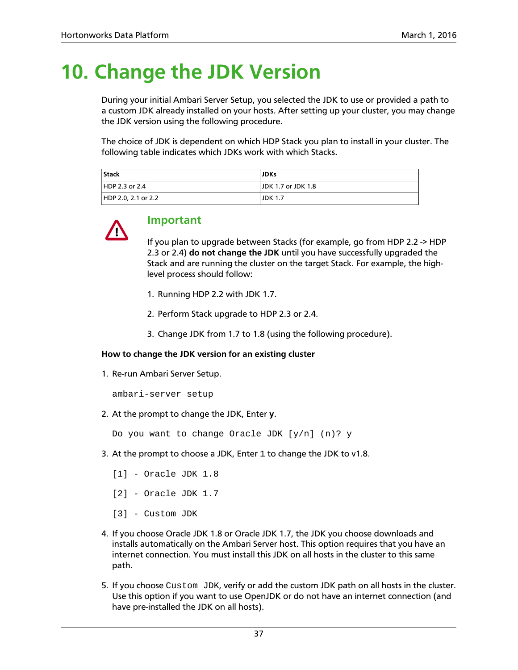# <span id="page-40-0"></span>**10. Change the JDK Version**

During your initial Ambari Server Setup, you selected the JDK to use or provided a path to a custom JDK already installed on your hosts. After setting up your cluster, you may change the JDK version using the following procedure.

The choice of JDK is dependent on which HDP Stack you plan to install in your cluster. The following table indicates which JDKs work with which Stacks.

| <b>Stack</b>        | <b>JDKs</b>        |
|---------------------|--------------------|
| HDP 2.3 or 2.4      | JDK 1.7 or JDK 1.8 |
| HDP 2.0, 2.1 or 2.2 | <b>JDK 1.7</b>     |



### **Important**

If you plan to upgrade between Stacks (for example, go from HDP 2.2 -> HDP 2.3 or 2.4) **do not change the JDK** until you have successfully upgraded the Stack and are running the cluster on the target Stack. For example, the highlevel process should follow:

- 1. Running HDP 2.2 with JDK 1.7.
- 2. Perform Stack upgrade to HDP 2.3 or 2.4.
- 3. Change JDK from 1.7 to 1.8 (using the following procedure).

#### **How to change the JDK version for an existing cluster**

1. Re-run Ambari Server Setup.

ambari-server setup

2. At the prompt to change the JDK, Enter **y**.

Do you want to change Oracle JDK [y/n] (n)? y

- 3. At the prompt to choose a JDK, Enter 1 to change the JDK to v1.8.
	- [1] Oracle JDK 1.8
	- [2] Oracle JDK 1.7
	- [3] Custom JDK
- 4. If you choose Oracle JDK 1.8 or Oracle JDK 1.7, the JDK you choose downloads and installs automatically on the Ambari Server host. This option requires that you have an internet connection. You must install this JDK on all hosts in the cluster to this same path.
- 5. If you choose Custom JDK, verify or add the custom JDK path on all hosts in the cluster. Use this option if you want to use OpenJDK or do not have an internet connection (and have pre-installed the JDK on all hosts).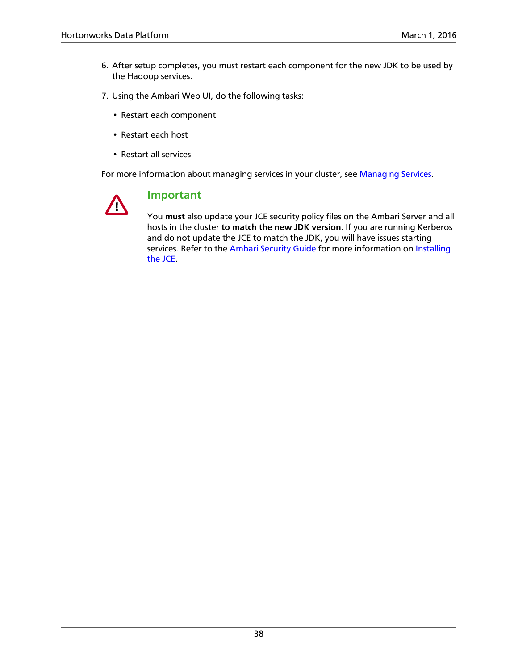- 6. After setup completes, you must restart each component for the new JDK to be used by the Hadoop services.
- 7. Using the Ambari Web UI, do the following tasks:
	- Restart each component
	- Restart each host
	- Restart all services

For more information about managing services in your cluster, see [Managing Services](https://docs.hortonworks.com/HDPDocuments/Ambari-2.2.1.0/bk_Ambari_Users_Guide/content/ch_managing_services.html).



### **Important**

You **must** also update your JCE security policy files on the Ambari Server and all hosts in the cluster **to match the new JDK version**. If you are running Kerberos and do not update the JCE to match the JDK, you will have issues starting services. Refer to the [Ambari Security Guide](https://docs.hortonworks.com/HDPDocuments/Ambari-2.2.1.0/bk_Ambari_Security_Guide/content/index.html) for more information on [Installing](https://docs.hortonworks.com/HDPDocuments/Ambari-2.2.1.0/bk_Ambari_Security_Guide/content/_installing_the_jce.html) [the JCE](https://docs.hortonworks.com/HDPDocuments/Ambari-2.2.1.0/bk_Ambari_Security_Guide/content/_installing_the_jce.html).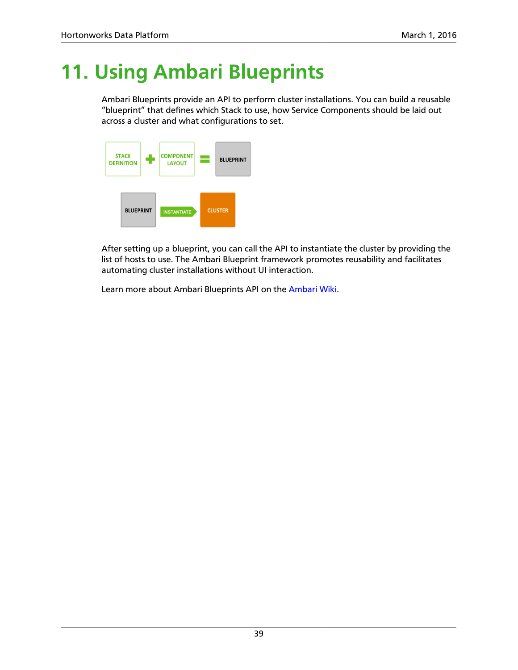# <span id="page-42-0"></span>**11. Using Ambari Blueprints**

Ambari Blueprints provide an API to perform cluster installations. You can build a reusable "blueprint" that defines which Stack to use, how Service Components should be laid out across a cluster and what configurations to set.



After setting up a blueprint, you can call the API to instantiate the cluster by providing the list of hosts to use. The Ambari Blueprint framework promotes reusability and facilitates automating cluster installations without UI interaction.

Learn more about Ambari Blueprints API on the [Ambari Wiki](https://cwiki.apache.org/confluence/display/AMBARI/Blueprints).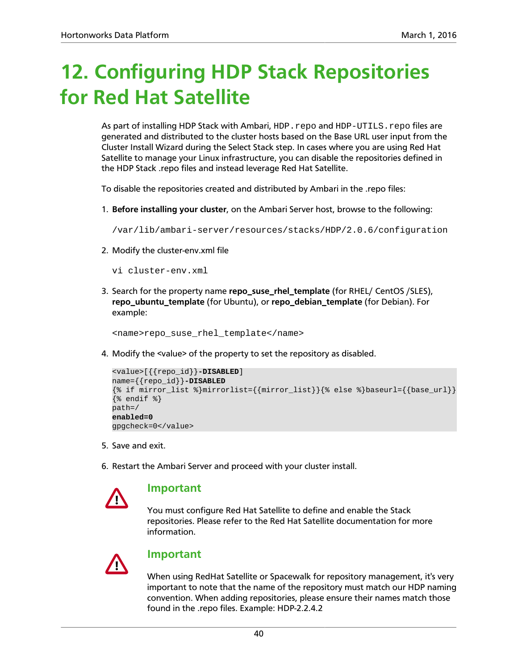# <span id="page-43-0"></span>**12. Configuring HDP Stack Repositories for Red Hat Satellite**

As part of installing HDP Stack with Ambari, HDP.repo and HDP-UTILS.repo files are generated and distributed to the cluster hosts based on the Base URL user input from the Cluster Install Wizard during the Select Stack step. In cases where you are using Red Hat Satellite to manage your Linux infrastructure, you can disable the repositories defined in the HDP Stack .repo files and instead leverage Red Hat Satellite.

To disable the repositories created and distributed by Ambari in the .repo files:

1. **Before installing your cluster**, on the Ambari Server host, browse to the following:

/var/lib/ambari-server/resources/stacks/HDP/2.0.6/configuration

- 2. Modify the cluster-env.xml file
	- vi cluster-env.xml
- 3. Search for the property name **repo\_suse\_rhel\_template** (for RHEL/ CentOS /SLES), **repo\_ubuntu\_template** (for Ubuntu), or **repo\_debian\_template** (for Debian). For example:

<name>repo\_suse\_rhel\_template</name>

4. Modify the <value> of the property to set the repository as disabled.

```
<value>[{{repo_id}}-DISABLED]
name={{repo_id}}-DISABLED
{\s if mirror_list {\mbox{minr}(\s)} = {\text{\mirror_list}}{\stat else \text{\mirror{\mirror}}}
\{\% \text{ endif } \$\}path=/
enabled=0
gpgcheck=0</value>
```
- 5. Save and exit.
- 6. Restart the Ambari Server and proceed with your cluster install.



#### **Important**

You must configure Red Hat Satellite to define and enable the Stack repositories. Please refer to the Red Hat Satellite documentation for more information.



### **Important**

When using RedHat Satellite or Spacewalk for repository management, it's very important to note that the name of the repository must match our HDP naming convention. When adding repositories, please ensure their names match those found in the .repo files. Example: HDP-2.2.4.2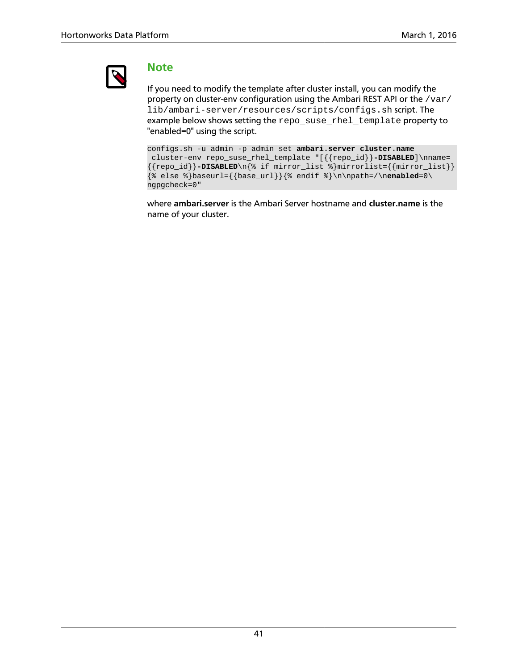

### **Note**

If you need to modify the template after cluster install, you can modify the property on cluster-env configuration using the Ambari REST API or the /var/ lib/ambari-server/resources/scripts/configs.sh script. The example below shows setting the repo\_suse\_rhel\_template property to "enabled=0" using the script.

```
configs.sh -u admin -p admin set ambari.server cluster.name
 cluster-env repo_suse_rhel_template "[{{repo_id}}-DISABLED]\nname=
{repo_id}}-DISABLED\n{% if mirror_list %}mirrorlist={{mirror_list}}
\{\% else \}baseurl={{base_url}}{% endif \n\neq \n\npath=/\nenabled=0\
ngpgcheck=0"
```
where **ambari.server** is the Ambari Server hostname and **cluster.name** is the name of your cluster.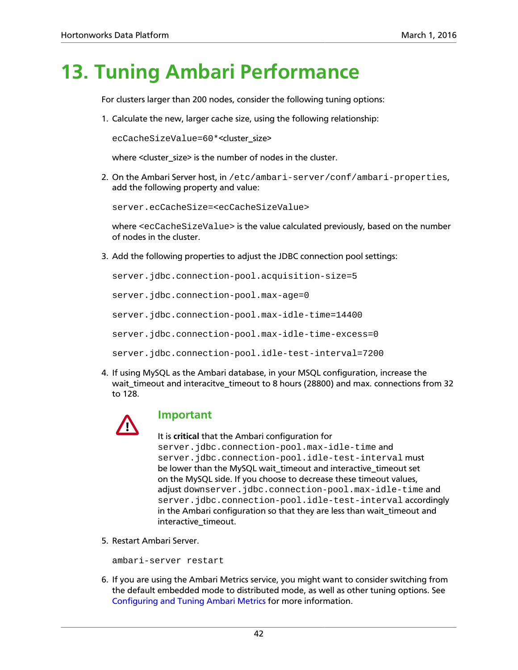# <span id="page-45-0"></span>**13. Tuning Ambari Performance**

For clusters larger than 200 nodes, consider the following tuning options:

1. Calculate the new, larger cache size, using the following relationship:

ecCacheSizeValue=60\*<cluster\_size>

where <cluster\_size> is the number of nodes in the cluster.

2. On the Ambari Server host, in /etc/ambari-server/conf/ambari-properties, add the following property and value:

server.ecCacheSize=<ecCacheSizeValue>

where <ecCacheSizeValue> is the value calculated previously, based on the number of nodes in the cluster.

3. Add the following properties to adjust the JDBC connection pool settings:

server.jdbc.connection-pool.acquisition-size=5 server.jdbc.connection-pool.max-age=0 server.jdbc.connection-pool.max-idle-time=14400 server.jdbc.connection-pool.max-idle-time-excess=0 server.jdbc.connection-pool.idle-test-interval=7200

4. If using MySQL as the Ambari database, in your MSQL configuration, increase the wait\_timeout and interacitve\_timeout to 8 hours (28800) and max. connections from 32 to 128.



### **Important**

It is **critical** that the Ambari configuration for server.jdbc.connection-pool.max-idle-time and server.jdbc.connection-pool.idle-test-interval must be lower than the MySQL wait\_timeout and interactive\_timeout set on the MySQL side. If you choose to decrease these timeout values, adjust downserver.jdbc.connection-pool.max-idle-time and server.jdbc.connection-pool.idle-test-interval accordingly in the Ambari configuration so that they are less than wait\_timeout and interactive\_timeout.

5. Restart Ambari Server.

ambari-server restart

6. If you are using the Ambari Metrics service, you might want to consider switching from the default embedded mode to distributed mode, as well as other tuning options. See [Configuring and Tuning Ambari Metrics](https://docs.hortonworks.com/HDPDocuments/Ambari-2.2.1.0/bk_ambari_reference_guide/content/ch_amb_ref_configuring_ambari_metrics.html) for more information.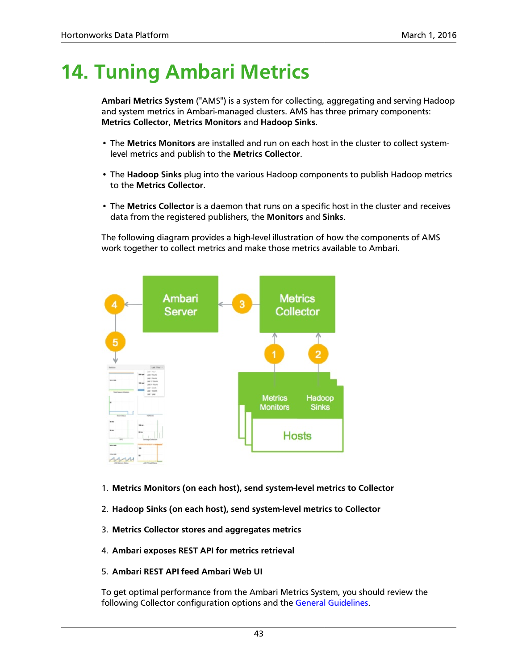# <span id="page-46-0"></span>**14. Tuning Ambari Metrics**

**Ambari Metrics System** ("AMS") is a system for collecting, aggregating and serving Hadoop and system metrics in Ambari-managed clusters. AMS has three primary components: **Metrics Collector**, **Metrics Monitors** and **Hadoop Sinks**.

- The **Metrics Monitors** are installed and run on each host in the cluster to collect systemlevel metrics and publish to the **Metrics Collector**.
- The **Hadoop Sinks** plug into the various Hadoop components to publish Hadoop metrics to the **Metrics Collector**.
- The **Metrics Collector** is a daemon that runs on a specific host in the cluster and receives data from the registered publishers, the **Monitors** and **Sinks**.

The following diagram provides a high-level illustration of how the components of AMS work together to collect metrics and make those metrics available to Ambari.



- 1. **Metrics Monitors (on each host), send system-level metrics to Collector**
- 2. **Hadoop Sinks (on each host), send system-level metrics to Collector**
- 3. **Metrics Collector stores and aggregates metrics**
- 4. **Ambari exposes REST API for metrics retrieval**

#### 5. **Ambari REST API feed Ambari Web UI**

To get optimal performance from the Ambari Metrics System, you should review the following Collector configuration options and the [General Guidelines](#page-50-0).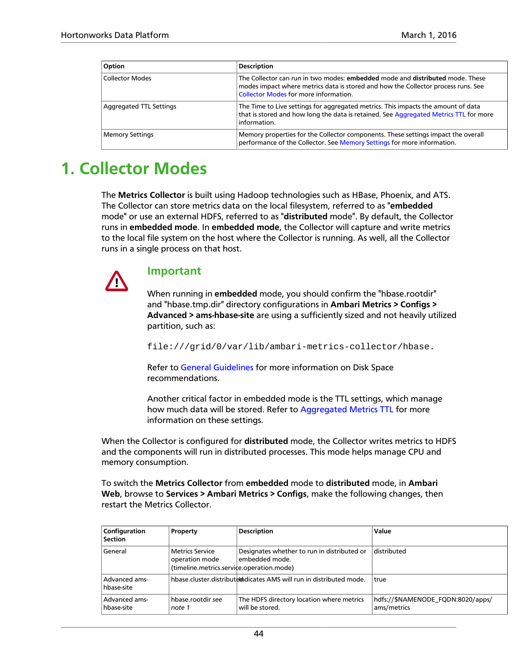| Option                         | <b>Description</b>                                                                                                                                                                                          |  |  |
|--------------------------------|-------------------------------------------------------------------------------------------------------------------------------------------------------------------------------------------------------------|--|--|
| <b>Collector Modes</b>         | The Collector can run in two modes: embedded mode and distributed mode. These<br>modes impact where metrics data is stored and how the Collector process runs. See<br>Collector Modes for more information. |  |  |
| <b>Aggregated TTL Settings</b> | The Time to Live settings for aggregated metrics. This impacts the amount of data<br>that is stored and how long the data is retained. See Aggregated Metrics TTL for more<br>information.                  |  |  |
| <b>Memory Settings</b>         | Memory properties for the Collector components. These settings impact the overall<br>performance of the Collector. See Memory Settings for more information.                                                |  |  |

# <span id="page-47-0"></span>**1. Collector Modes**

The **Metrics Collector** is built using Hadoop technologies such as HBase, Phoenix, and ATS. The Collector can store metrics data on the local filesystem, referred to as "**embedded** mode" or use an external HDFS, referred to as "**distributed** mode". By default, the Collector runs in **embedded mode**. In **embedded mode**, the Collector will capture and write metrics to the local file system on the host where the Collector is running. As well, all the Collector runs in a single process on that host.



#### **Important**

When running in **embedded** mode, you should confirm the "hbase.rootdir" and "hbase.tmp.dir" directory configurations in **Ambari Metrics > Configs > Advanced > ams-hbase-site** are using a sufficiently sized and not heavily utilized partition, such as:

file:///grid/0/var/lib/ambari-metrics-collector/hbase.

Refer to [General Guidelines](#page-50-0) for more information on Disk Space recommendations.

Another critical factor in embedded mode is the TTL settings, which manage how much data will be stored. Refer to [Aggregated Metrics TTL](#page-48-0) for more information on these settings.

When the Collector is configured for **distributed** mode, the Collector writes metrics to HDFS and the components will run in distributed processes. This mode helps manage CPU and memory consumption.

To switch the **Metrics Collector** from **embedded** mode to **distributed** mode, in **Ambari Web**, browse to **Services > Ambari Metrics > Configs**, make the following changes, then restart the Metrics Collector.

| Configuration<br><b>Section</b> | Property                                                                              | <b>Description</b>                                                    | Value                                            |
|---------------------------------|---------------------------------------------------------------------------------------|-----------------------------------------------------------------------|--------------------------------------------------|
| General                         | <b>Metrics Service</b><br>operation mode<br>(timeline.metrics.service.operation.mode) | Designates whether to run in distributed or<br>embedded mode.         | distributed                                      |
| Advanced ams-<br>hbase-site     |                                                                                       | hbase.cluster.distribute that cates AMS will run in distributed mode. | true                                             |
| Advanced ams-<br>hbase-site     | hbase.rootdir see<br>note 1                                                           | The HDFS directory location where metrics<br>will be stored.          | hdfs://\$NAMENODE FQDN:8020/apps/<br>ams/metrics |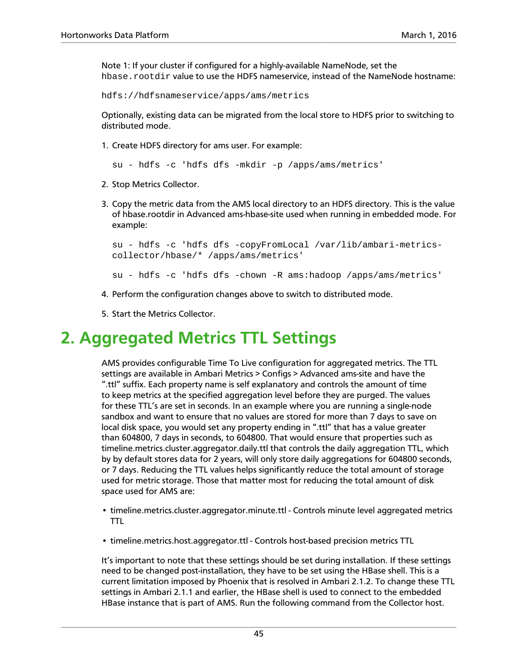Note 1: If your cluster if configured for a highly-available NameNode, set the hbase.rootdir value to use the HDFS nameservice, instead of the NameNode hostname:

hdfs://hdfsnameservice/apps/ams/metrics

Optionally, existing data can be migrated from the local store to HDFS prior to switching to distributed mode.

1. Create HDFS directory for ams user. For example:

su - hdfs -c 'hdfs dfs -mkdir -p /apps/ams/metrics'

- 2. Stop Metrics Collector.
- 3. Copy the metric data from the AMS local directory to an HDFS directory. This is the value of hbase.rootdir in Advanced ams-hbase-site used when running in embedded mode. For example:

```
su - hdfs -c 'hdfs dfs -copyFromLocal /var/lib/ambari-metrics-
collector/hbase/* /apps/ams/metrics'
```
su - hdfs -c 'hdfs dfs -chown -R ams:hadoop /apps/ams/metrics'

- 4. Perform the configuration changes above to switch to distributed mode.
- 5. Start the Metrics Collector.

# <span id="page-48-0"></span>**2. Aggregated Metrics TTL Settings**

AMS provides configurable Time To Live configuration for aggregated metrics. The TTL settings are available in Ambari Metrics > Configs > Advanced ams-site and have the ".ttl" suffix. Each property name is self explanatory and controls the amount of time to keep metrics at the specified aggregation level before they are purged. The values for these TTL's are set in seconds. In an example where you are running a single-node sandbox and want to ensure that no values are stored for more than 7 days to save on local disk space, you would set any property ending in ".ttl" that has a value greater than 604800, 7 days in seconds, to 604800. That would ensure that properties such as timeline.metrics.cluster.aggregator.daily.ttl that controls the daily aggregation TTL, which by by default stores data for 2 years, will only store daily aggregations for 604800 seconds, or 7 days. Reducing the TTL values helps significantly reduce the total amount of storage used for metric storage. Those that matter most for reducing the total amount of disk space used for AMS are:

- timeline.metrics.cluster.aggregator.minute.ttl Controls minute level aggregated metrics TTL
- timeline.metrics.host.aggregator.ttl Controls host-based precision metrics TTL

It's important to note that these settings should be set during installation. If these settings need to be changed post-installation, they have to be set using the HBase shell. This is a current limitation imposed by Phoenix that is resolved in Ambari 2.1.2. To change these TTL settings in Ambari 2.1.1 and earlier, the HBase shell is used to connect to the embedded HBase instance that is part of AMS. Run the following command from the Collector host.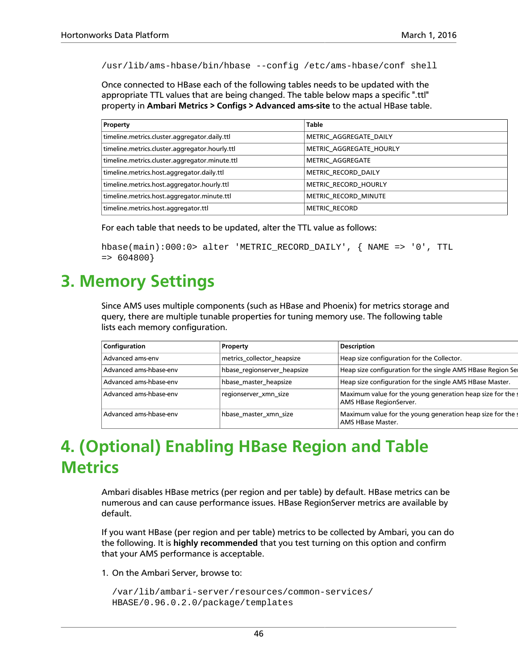/usr/lib/ams-hbase/bin/hbase --config /etc/ams-hbase/conf shell

Once connected to HBase each of the following tables needs to be updated with the appropriate TTL values that are being changed. The table below maps a specific ".ttl" property in **Ambari Metrics > Configs > Advanced ams-site** to the actual HBase table.

| Property                                       | <b>Table</b>            |  |  |
|------------------------------------------------|-------------------------|--|--|
| timeline.metrics.cluster.aggregator.daily.ttl  | METRIC AGGREGATE DAILY  |  |  |
| timeline.metrics.cluster.aggregator.hourly.ttl | METRIC AGGREGATE HOURLY |  |  |
| timeline.metrics.cluster.aggregator.minute.ttl | <b>METRIC AGGREGATE</b> |  |  |
| timeline.metrics.host.aggregator.daily.ttl     | METRIC RECORD DAILY     |  |  |
| timeline.metrics.host.aggregator.hourly.ttl    | METRIC RECORD HOURLY    |  |  |
| timeline.metrics.host.aggregator.minute.ttl    | METRIC RECORD MINUTE    |  |  |
| timeline.metrics.host.aggregator.ttl           | <b>METRIC RECORD</b>    |  |  |

For each table that needs to be updated, alter the TTL value as follows:

```
hbase(main):000:0> alter 'METRIC_RECORD_DAILY', { NAME => '0', TTL
= > 604800}
```
## <span id="page-49-0"></span>**3. Memory Settings**

Since AMS uses multiple components (such as HBase and Phoenix) for metrics storage and query, there are multiple tunable properties for tuning memory use. The following table lists each memory configuration.

| Configuration |                        | Property                    | <b>Description</b>                                                                   |
|---------------|------------------------|-----------------------------|--------------------------------------------------------------------------------------|
|               | Advanced ams-env       | metrics collector heapsize  | Heap size configuration for the Collector.                                           |
|               | Advanced ams-hbase-env | hbase_regionserver_heapsize | Heap size configuration for the single AMS HBase Region Se                           |
|               | Advanced ams-hbase-env | hbase_master_heapsize       | Heap size configuration for the single AMS HBase Master.                             |
|               | Advanced ams-hbase-env | regionserver xmn size       | Maximum value for the young generation heap size for the<br>AMS HBase RegionServer.  |
|               | Advanced ams-hbase-env | hbase master xmn size       | Maximum value for the young generation heap size for the<br><b>AMS HBase Master.</b> |

# <span id="page-49-1"></span>**4. (Optional) Enabling HBase Region and Table Metrics**

Ambari disables HBase metrics (per region and per table) by default. HBase metrics can be numerous and can cause performance issues. HBase RegionServer metrics are available by default.

If you want HBase (per region and per table) metrics to be collected by Ambari, you can do the following. It is **highly recommended** that you test turning on this option and confirm that your AMS performance is acceptable.

1. On the Ambari Server, browse to:

```
/var/lib/ambari-server/resources/common-services/
HBASE/0.96.0.2.0/package/templates
```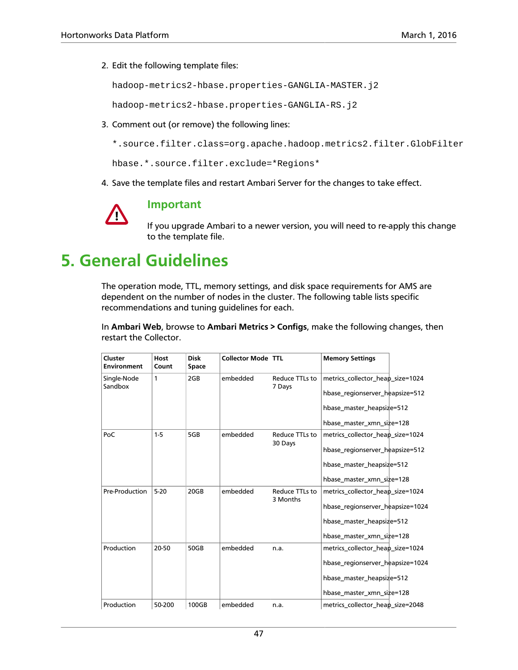2. Edit the following template files:

hadoop-metrics2-hbase.properties-GANGLIA-MASTER.j2

hadoop-metrics2-hbase.properties-GANGLIA-RS.j2

3. Comment out (or remove) the following lines:

\*.source.filter.class=org.apache.hadoop.metrics2.filter.GlobFilter

hbase.\*.source.filter.exclude=\*Regions\*

4. Save the template files and restart Ambari Server for the changes to take effect.



### **Important**

If you upgrade Ambari to a newer version, you will need to re-apply this change to the template file.

# <span id="page-50-0"></span>**5. General Guidelines**

The operation mode, TTL, memory settings, and disk space requirements for AMS are dependent on the number of nodes in the cluster. The following table lists specific recommendations and tuning guidelines for each.

In **Ambari Web**, browse to **Ambari Metrics > Configs**, make the following changes, then restart the Collector.

| Cluster<br><b>Environment</b> | Host<br>Count | <b>Disk</b><br>Space | <b>Collector Mode</b> | <b>TTL</b>                 | <b>Memory Settings</b>           |
|-------------------------------|---------------|----------------------|-----------------------|----------------------------|----------------------------------|
| Single-Node<br>Sandbox        | 1             | 2GB                  | embedded              | Reduce TTLs to<br>7 Days   | metrics collector heap size=1024 |
|                               |               |                      |                       |                            | hbase_regionserver_heapsize=512  |
|                               |               |                      |                       |                            | hbase_master_heapsize=512        |
|                               |               |                      |                       |                            | hbase master xmn size=128        |
| PoC                           | $1-5$         | 5GB                  | embedded              | Reduce TTLs to             | metrics collector heap size=1024 |
|                               |               |                      |                       | 30 Days                    | hbase_regionserver_heapsize=512  |
|                               |               |                      |                       |                            | hbase_master_heapsize=512        |
|                               |               |                      |                       |                            | hbase_master_xmn_size=128        |
| Pre-Production                | $5-20$        | 20GB                 | embedded              | Reduce TTLs to<br>3 Months | metrics_collector_heap_size=1024 |
|                               |               |                      |                       |                            | hbase_regionserver_heapsize=1024 |
|                               |               |                      |                       |                            | hbase_master_heapsize=512        |
|                               |               |                      |                       |                            | hbase master xmn size=128        |
| Production                    | 20-50         | 50GB                 | embedded              | n.a.                       | metrics collector heap size=1024 |
|                               |               |                      |                       |                            | hbase_regionserver_heapsize=1024 |
|                               |               |                      |                       |                            | hbase_master_heapsize=512        |
|                               |               |                      |                       |                            | hbase_master_xmn_size=128        |
| Production                    | 50-200        | 100GB                | embedded              | n.a.                       | metrics_collector_heap_size=2048 |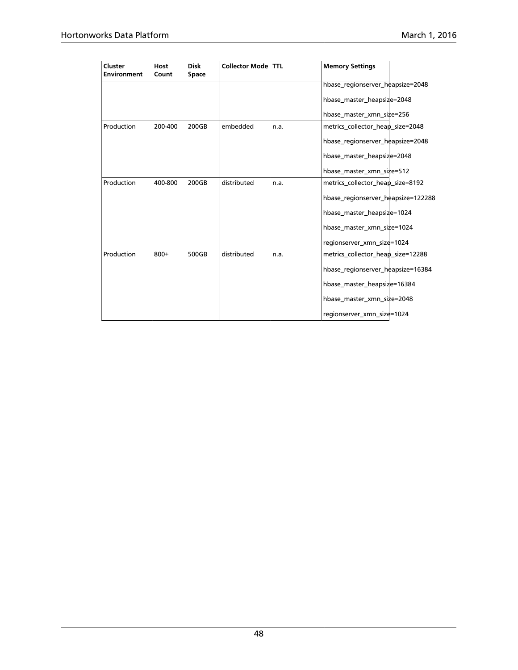| Cluster<br><b>Environment</b> | Host<br>Count | <b>Disk</b><br>Space | Collector Mode TTL |      | <b>Memory Settings</b>             |
|-------------------------------|---------------|----------------------|--------------------|------|------------------------------------|
|                               |               |                      |                    |      | hbase_regionserver_heapsize=2048   |
|                               |               |                      |                    |      | hbase_master_heapsize=2048         |
|                               |               |                      |                    |      | hbase master xmn size=256          |
| Production                    | 200-400       | 200GB                | embedded           | n.a. | metrics_collector_heap_size=2048   |
|                               |               |                      |                    |      | hbase_regionserver_heapsize=2048   |
|                               |               |                      |                    |      | hbase_master_heapsize=2048         |
|                               |               |                      |                    |      | hbase master xmn size=512          |
| Production                    | 400-800       | 200GB                | distributed        | n.a. | metrics_collector_heap_size=8192   |
|                               |               |                      |                    |      | hbase_regionserver_heapsize=122288 |
|                               |               |                      |                    |      | hbase_master_heapsize=1024         |
|                               |               |                      |                    |      | hbase master xmn size=1024         |
|                               |               |                      |                    |      | regionserver_xmn_size=1024         |
| Production                    | $800+$        | 500GB                | distributed        | n.a. | metrics_collector_heap_size=12288  |
|                               |               |                      |                    |      | hbase_regionserver_heapsize=16384  |
|                               |               |                      |                    |      | hbase_master_heapsize=16384        |
|                               |               |                      |                    |      | hbase master xmn size=2048         |
|                               |               |                      |                    |      | regionserver_xmn_size=1024         |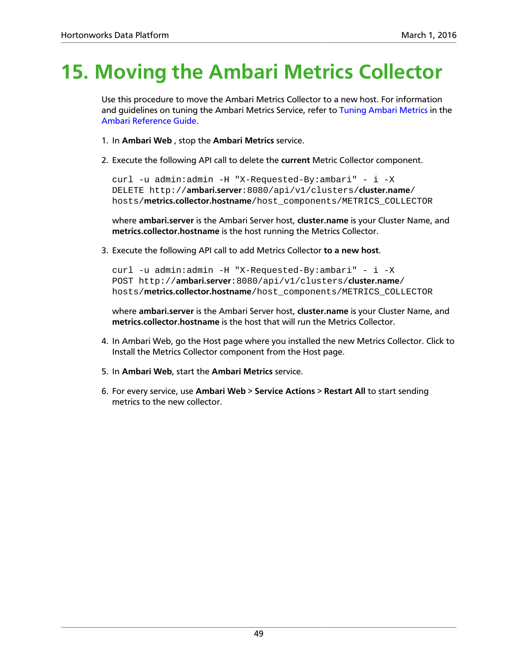# <span id="page-52-0"></span>**15. Moving the Ambari Metrics Collector**

Use this procedure to move the Ambari Metrics Collector to a new host. For information and guidelines on tuning the Ambari Metrics Service, refer to [Tuning Ambari Metrics](https://docs.hortonworks.com/HDPDocuments/Ambari-2.1.2.0/bk_ambari_reference_guide/content/ch_amb_ref_configuring_ambari_metrics.html) in the [Ambari Reference Guide](https://docs.hortonworks.com/HDPDocuments/Ambari-2.1.2.0/bk_ambari_reference_guide/content/index.html).

- 1. In **Ambari Web** , stop the **Ambari Metrics** service.
- 2. Execute the following API call to delete the **current** Metric Collector component.

curl -u admin:admin -H "X-Requested-By:ambari" - i -X DELETE http://**ambari.server**:8080/api/v1/clusters/**cluster.name**/ hosts/**metrics.collector.hostname**/host\_components/METRICS\_COLLECTOR

where **ambari.server** is the Ambari Server host, **cluster.name** is your Cluster Name, and **metrics.collector.hostname** is the host running the Metrics Collector.

3. Execute the following API call to add Metrics Collector **to a new host**.

curl -u admin:admin -H "X-Requested-By:ambari" - i -X POST http://**ambari.server**:8080/api/v1/clusters/**cluster.name**/ hosts/**metrics.collector.hostname**/host\_components/METRICS\_COLLECTOR

where **ambari.server** is the Ambari Server host, **cluster.name** is your Cluster Name, and **metrics.collector.hostname** is the host that will run the Metrics Collector.

- 4. In Ambari Web, go the Host page where you installed the new Metrics Collector. Click to Install the Metrics Collector component from the Host page.
- 5. In **Ambari Web**, start the **Ambari Metrics** service.
- 6. For every service, use **Ambari Web** > **Service Actions** > **Restart All** to start sending metrics to the new collector.